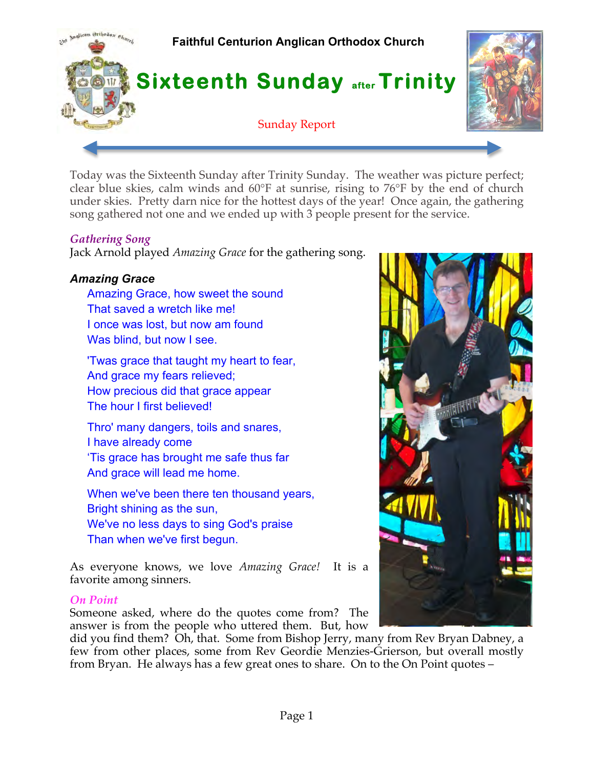

Today was the Sixteenth Sunday after Trinity Sunday. The weather was picture perfect; clear blue skies, calm winds and 60°F at sunrise, rising to 76°F by the end of church under skies. Pretty darn nice for the hottest days of the year! Once again, the gathering song gathered not one and we ended up with 3 people present for the service.

# *Gathering Song*

Jack Arnold played *Amazing Grace* for the gathering song.

# *Amazing Grace*

Amazing Grace, how sweet the sound That saved a wretch like me! I once was lost, but now am found Was blind, but now I see.

'Twas grace that taught my heart to fear, And grace my fears relieved; How precious did that grace appear The hour I first believed!

Thro' many dangers, toils and snares, I have already come 'Tis grace has brought me safe thus far And grace will lead me home.

When we've been there ten thousand years, Bright shining as the sun, We've no less days to sing God's praise Than when we've first begun.

As everyone knows, we love *Amazing Grace!* It is a favorite among sinners.

### *On Point*

Someone asked, where do the quotes come from? The answer is from the people who uttered them. But, how

did you find them? Oh, that. Some from Bishop Jerry, many from Rev Bryan Dabney, a few from other places, some from Rev Geordie Menzies-Grierson, but overall mostly from Bryan. He always has a few great ones to share. On to the On Point quotes –

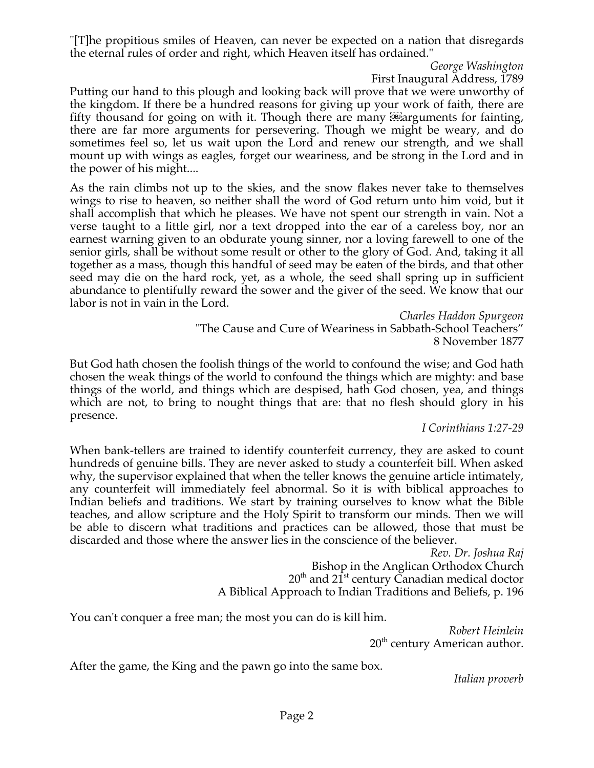"[T]he propitious smiles of Heaven, can never be expected on a nation that disregards the eternal rules of order and right, which Heaven itself has ordained."

*George Washington*

First Inaugural Address, 1789

Putting our hand to this plough and looking back will prove that we were unworthy of the kingdom. If there be a hundred reasons for giving up your work of faith, there are fifty thousand for going on with it. Though there are many  $\overline{38}$  arguments for fainting, there are far more arguments for persevering. Though we might be weary, and do sometimes feel so, let us wait upon the Lord and renew our strength, and we shall mount up with wings as eagles, forget our weariness, and be strong in the Lord and in the power of his might....

As the rain climbs not up to the skies, and the snow flakes never take to themselves wings to rise to heaven, so neither shall the word of God return unto him void, but it shall accomplish that which he pleases. We have not spent our strength in vain. Not a verse taught to a little girl, nor a text dropped into the ear of a careless boy, nor an earnest warning given to an obdurate young sinner, nor a loving farewell to one of the senior girls, shall be without some result or other to the glory of God. And, taking it all together as a mass, though this handful of seed may be eaten of the birds, and that other seed may die on the hard rock, yet, as a whole, the seed shall spring up in sufficient abundance to plentifully reward the sower and the giver of the seed. We know that our labor is not in vain in the Lord.

> *Charles Haddon Spurgeon* "The Cause and Cure of Weariness in Sabbath-School Teachers" 8 November 1877

But God hath chosen the foolish things of the world to confound the wise; and God hath chosen the weak things of the world to confound the things which are mighty: and base things of the world, and things which are despised, hath God chosen, yea, and things which are not, to bring to nought things that are: that no flesh should glory in his presence.

*I Corinthians 1:27-29* 

When bank-tellers are trained to identify counterfeit currency, they are asked to count hundreds of genuine bills. They are never asked to study a counterfeit bill. When asked why, the supervisor explained that when the teller knows the genuine article intimately, any counterfeit will immediately feel abnormal. So it is with biblical approaches to Indian beliefs and traditions. We start by training ourselves to know what the Bible teaches, and allow scripture and the Holy Spirit to transform our minds. Then we will be able to discern what traditions and practices can be allowed, those that must be discarded and those where the answer lies in the conscience of the believer.

> *Rev. Dr. Joshua Raj* Bishop in the Anglican Orthodox Church  $20<sup>th</sup>$  and  $21<sup>st</sup>$  century Canadian medical doctor A Biblical Approach to Indian Traditions and Beliefs, p. 196

You can't conquer a free man; the most you can do is kill him.

*Robert Heinlein*  $20<sup>th</sup>$  century American author.

After the game, the King and the pawn go into the same box.

*Italian proverb*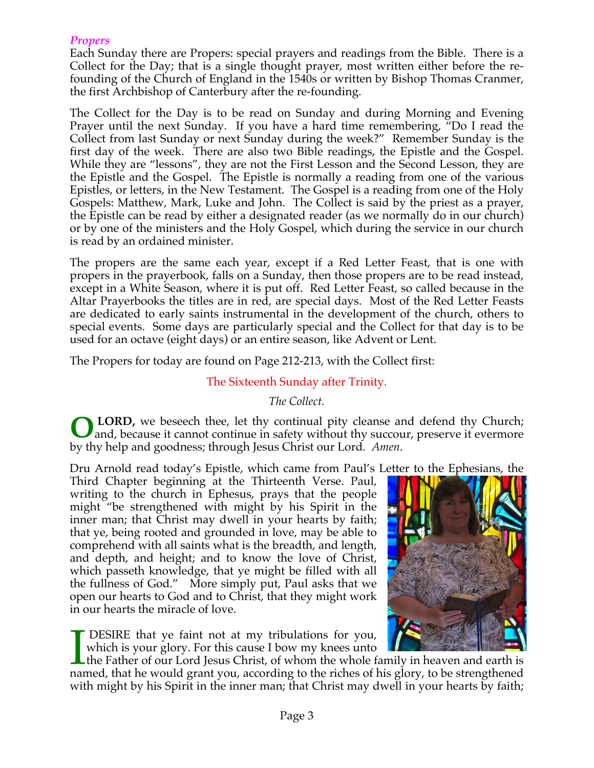## *Propers*

Each Sunday there are Propers: special prayers and readings from the Bible. There is a Collect for the Day; that is a single thought prayer, most written either before the refounding of the Church of England in the 1540s or written by Bishop Thomas Cranmer, the first Archbishop of Canterbury after the re-founding.

The Collect for the Day is to be read on Sunday and during Morning and Evening Prayer until the next Sunday. If you have a hard time remembering, "Do I read the Collect from last Sunday or next Sunday during the week?" Remember Sunday is the first day of the week. There are also two Bible readings, the Epistle and the Gospel. While they are "lessons", they are not the First Lesson and the Second Lesson, they are the Epistle and the Gospel. The Epistle is normally a reading from one of the various Epistles, or letters, in the New Testament. The Gospel is a reading from one of the Holy Gospels: Matthew, Mark, Luke and John. The Collect is said by the priest as a prayer, the Epistle can be read by either a designated reader (as we normally do in our church) or by one of the ministers and the Holy Gospel, which during the service in our church is read by an ordained minister.

The propers are the same each year, except if a Red Letter Feast, that is one with propers in the prayerbook, falls on a Sunday, then those propers are to be read instead, except in a White Season, where it is put off. Red Letter Feast, so called because in the Altar Prayerbooks the titles are in red, are special days. Most of the Red Letter Feasts are dedicated to early saints instrumental in the development of the church, others to special events. Some days are particularly special and the Collect for that day is to be used for an octave (eight days) or an entire season, like Advent or Lent.

The Propers for today are found on Page 212-213, with the Collect first:

## The Sixteenth Sunday after Trinity.

*The Collect.*

LORD, we beseech thee, let thy continual pity cleanse and defend thy Church; and, because it cannot continue in safety without thy succour, preserve it evermore by thy help and goodness; through Jesus Christ our Lord. *Amen*. **O**

Dru Arnold read today's Epistle, which came from Paul's Letter to the Ephesians, the

Third Chapter beginning at the Thirteenth Verse. Paul, writing to the church in Ephesus, prays that the people might "be strengthened with might by his Spirit in the inner man; that Christ may dwell in your hearts by faith; that ye, being rooted and grounded in love, may be able to comprehend with all saints what is the breadth, and length, and depth, and height; and to know the love of Christ, which passeth knowledge, that ye might be filled with all the fullness of God." More simply put, Paul asks that we open our hearts to God and to Christ, that they might work in our hearts the miracle of love.

 DESIRE that ye faint not at my tribulations for you, which is your glory. For this cause I bow my knees unto

the Father of our Lord Jesus Christ, of whom the whole family in heaven and earth is named, that he would grant you, according to the riches of his glory, to be strengthened with might by his Spirit in the inner man; that Christ may dwell in your hearts by faith;  $\prod_{\text{nar}}$ 

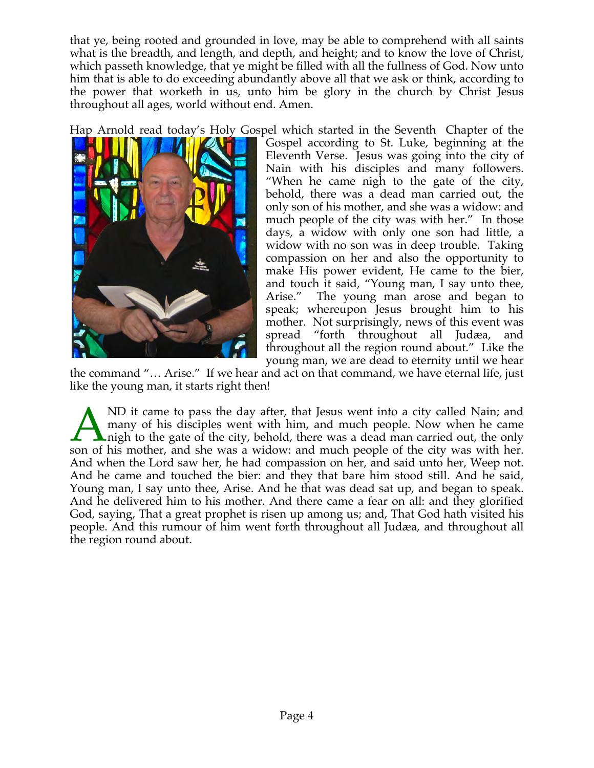that ye, being rooted and grounded in love, may be able to comprehend with all saints what is the breadth, and length, and depth, and height; and to know the love of Christ, which passeth knowledge, that ye might be filled with all the fullness of God. Now unto him that is able to do exceeding abundantly above all that we ask or think, according to the power that worketh in us, unto him be glory in the church by Christ Jesus throughout all ages, world without end. Amen.

Hap Arnold read today's Holy Gospel which started in the Seventh Chapter of the



Gospel according to St. Luke, beginning at the Eleventh Verse. Jesus was going into the city of Nain with his disciples and many followers. "When he came nigh to the gate of the city, behold, there was a dead man carried out, the only son of his mother, and she was a widow: and much people of the city was with her." In those days, a widow with only one son had little, a widow with no son was in deep trouble. Taking compassion on her and also the opportunity to make His power evident, He came to the bier, and touch it said, "Young man, I say unto thee, Arise." The young man arose and began to speak; whereupon Jesus brought him to his mother. Not surprisingly, news of this event was spread "forth throughout all Judæa, and throughout all the region round about." Like the young man, we are dead to eternity until we hear

the command "… Arise." If we hear and act on that command, we have eternal life, just like the young man, it starts right then!

ND it came to pass the day after, that Jesus went into a city called Nain; and many of his disciples went with him, and much people. Now when he came nigh to the gate of the city, behold, there was a dead man carried out, the only ND it came to pass the day after, that Jesus went into a city called Nain; and many of his disciples went with him, and much people. Now when he came nigh to the gate of the city, behold, there was a dead man carried out, And when the Lord saw her, he had compassion on her, and said unto her, Weep not. And he came and touched the bier: and they that bare him stood still. And he said, Young man, I say unto thee, Arise. And he that was dead sat up, and began to speak. And he delivered him to his mother. And there came a fear on all: and they glorified God, saying, That a great prophet is risen up among us; and, That God hath visited his people. And this rumour of him went forth throughout all Judæa, and throughout all the region round about.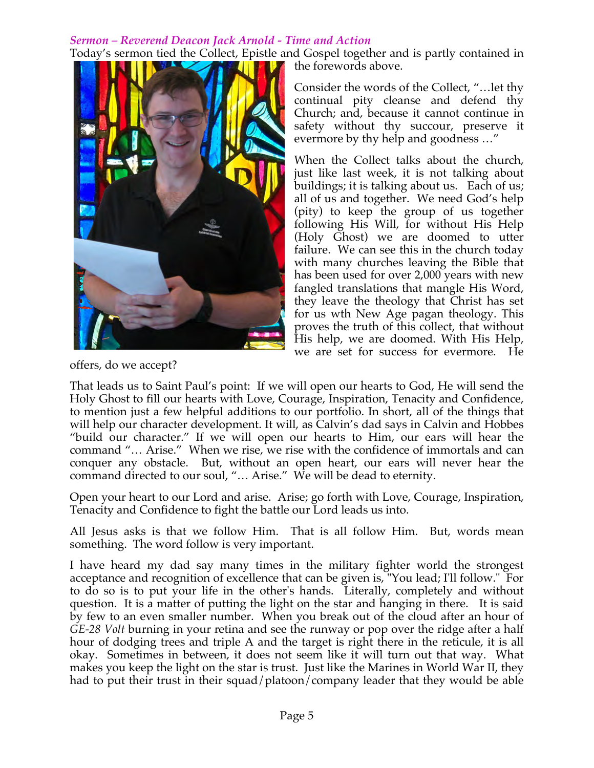# *Sermon – Reverend Deacon Jack Arnold - Time and Action*

Today's sermon tied the Collect, Epistle and Gospel together and is partly contained in the forewords above.



Consider the words of the Collect, "…let thy continual pity cleanse and defend thy Church; and, because it cannot continue in safety without thy succour, preserve it evermore by thy help and goodness …"

When the Collect talks about the church, just like last week, it is not talking about buildings; it is talking about us. Each of us; all of us and together. We need God's help (pity) to keep the group of us together following His Will, for without His Help (Holy Ghost) we are doomed to utter failure. We can see this in the church today with many churches leaving the Bible that has been used for over 2,000 years with new fangled translations that mangle His Word, they leave the theology that Christ has set for us wth New Age pagan theology. This proves the truth of this collect, that without His help, we are doomed. With His Help, we are set for success for evermore. He

offers, do we accept?

That leads us to Saint Paul's point: If we will open our hearts to God, He will send the Holy Ghost to fill our hearts with Love, Courage, Inspiration, Tenacity and Confidence, to mention just a few helpful additions to our portfolio. In short, all of the things that will help our character development. It will, as Calvin's dad says in Calvin and Hobbes "build our character." If we will open our hearts to Him, our ears will hear the command "… Arise." When we rise, we rise with the confidence of immortals and can conquer any obstacle. But, without an open heart, our ears will never hear the command directed to our soul, "… Arise." We will be dead to eternity.

Open your heart to our Lord and arise. Arise; go forth with Love, Courage, Inspiration, Tenacity and Confidence to fight the battle our Lord leads us into.

All Jesus asks is that we follow Him. That is all follow Him. But, words mean something. The word follow is very important.

I have heard my dad say many times in the military fighter world the strongest acceptance and recognition of excellence that can be given is, "You lead; I'll follow." For to do so is to put your life in the other's hands. Literally, completely and without question. It is a matter of putting the light on the star and hanging in there. It is said by few to an even smaller number. When you break out of the cloud after an hour of *GE-28 Volt* burning in your retina and see the runway or pop over the ridge after a half hour of dodging trees and triple A and the target is right there in the reticule, it is all okay. Sometimes in between, it does not seem like it will turn out that way. What makes you keep the light on the star is trust. Just like the Marines in World War II, they had to put their trust in their squad/platoon/company leader that they would be able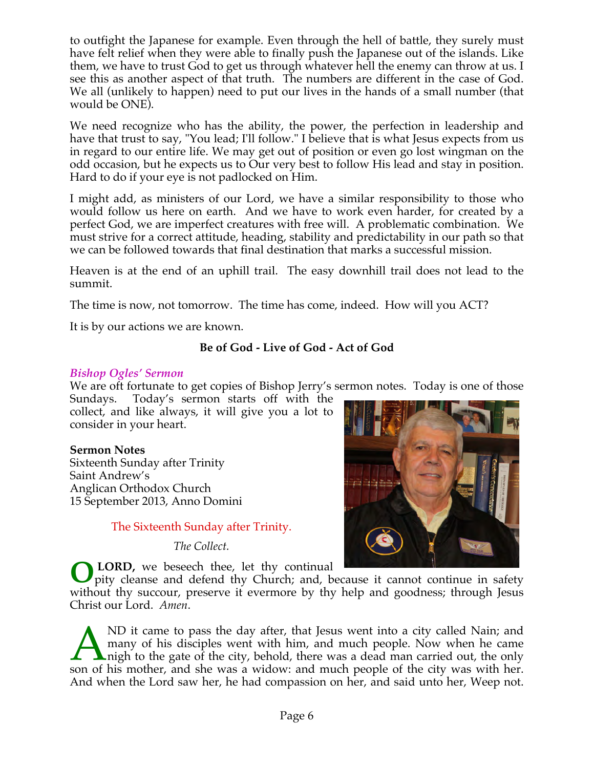to outfight the Japanese for example. Even through the hell of battle, they surely must have felt relief when they were able to finally push the Japanese out of the islands. Like them, we have to trust God to get us through whatever hell the enemy can throw at us. I see this as another aspect of that truth. The numbers are different in the case of God. We all (unlikely to happen) need to put our lives in the hands of a small number (that would be ONE).

We need recognize who has the ability, the power, the perfection in leadership and have that trust to say, "You lead; I'll follow." I believe that is what Jesus expects from us in regard to our entire life. We may get out of position or even go lost wingman on the odd occasion, but he expects us to Our very best to follow His lead and stay in position. Hard to do if your eye is not padlocked on Him.

I might add, as ministers of our Lord, we have a similar responsibility to those who would follow us here on earth. And we have to work even harder, for created by a perfect God, we are imperfect creatures with free will. A problematic combination. We must strive for a correct attitude, heading, stability and predictability in our path so that we can be followed towards that final destination that marks a successful mission.

Heaven is at the end of an uphill trail. The easy downhill trail does not lead to the summit.

The time is now, not tomorrow. The time has come, indeed. How will you ACT?

It is by our actions we are known.

# **Be of God - Live of God - Act of God**

## *Bishop Ogles' Sermon*

We are oft fortunate to get copies of Bishop Jerry's sermon notes. Today is one of those

Sundays. Today's sermon starts off with the collect, and like always, it will give you a lot to consider in your heart.

# **Sermon Notes**

Sixteenth Sunday after Trinity Saint Andrew's Anglican Orthodox Church 15 September 2013, Anno Domini

# The Sixteenth Sunday after Trinity.

*The Collect.*



LORD, we beseech thee, let thy continual

pity cleanse and defend thy Church; and, because it cannot continue in safety without thy succour, preserve it evermore by thy help and goodness; through Jesus Christ our Lord. *Amen*. **O**

ND it came to pass the day after, that Jesus went into a city called Nain; and many of his disciples went with him, and much people. Now when he came **L** nigh to the gate of the city, behold, there was a dead man carried out, the only ND it came to pass the day after, that Jesus went into a city called Nain; and many of his disciples went with him, and much people. Now when he came noise in the city was with the she was a widow: and much people of the c And when the Lord saw her, he had compassion on her, and said unto her, Weep not.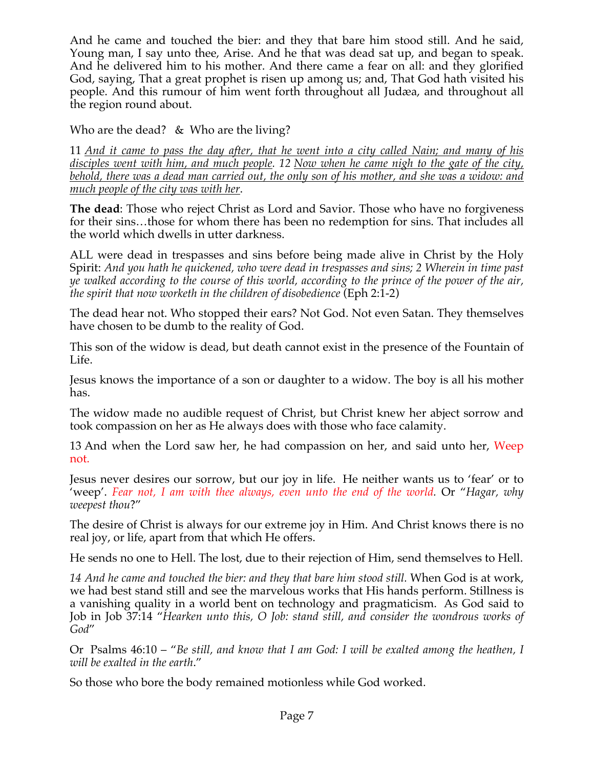And he came and touched the bier: and they that bare him stood still. And he said, Young man, I say unto thee, Arise. And he that was dead sat up, and began to speak. And he delivered him to his mother. And there came a fear on all: and they glorified God, saying, That a great prophet is risen up among us; and, That God hath visited his people. And this rumour of him went forth throughout all Judæa, and throughout all the region round about.

Who are the dead? & Who are the living?

11 *And it came to pass the day after, that he went into a city called Nain; and many of his disciples went with him, and much people. 12 Now when he came nigh to the gate of the city, behold, there was a dead man carried out, the only son of his mother, and she was a widow: and much people of the city was with her*.

**The dead**: Those who reject Christ as Lord and Savior. Those who have no forgiveness for their sins…those for whom there has been no redemption for sins. That includes all the world which dwells in utter darkness.

ALL were dead in trespasses and sins before being made alive in Christ by the Holy Spirit: *And you hath he quickened, who were dead in trespasses and sins; 2 Wherein in time past ye walked according to the course of this world, according to the prince of the power of the air, the spirit that now worketh in the children of disobedience* (Eph 2:1-2)

The dead hear not. Who stopped their ears? Not God. Not even Satan. They themselves have chosen to be dumb to the reality of God.

This son of the widow is dead, but death cannot exist in the presence of the Fountain of Life.

Jesus knows the importance of a son or daughter to a widow. The boy is all his mother has.

The widow made no audible request of Christ, but Christ knew her abject sorrow and took compassion on her as He always does with those who face calamity.

13 And when the Lord saw her, he had compassion on her, and said unto her, Weep not.

Jesus never desires our sorrow, but our joy in life. He neither wants us to 'fear' or to 'weep'. *Fear not, I am with thee always, even unto the end of the world.* Or "*Hagar, why weepest thou*?"

The desire of Christ is always for our extreme joy in Him. And Christ knows there is no real joy, or life, apart from that which He offers.

He sends no one to Hell. The lost, due to their rejection of Him, send themselves to Hell.

*14 And he came and touched the bier: and they that bare him stood still.* When God is at work, we had best stand still and see the marvelous works that His hands perform. Stillness is a vanishing quality in a world bent on technology and pragmaticism. As God said to Job in Job 37:14 "*Hearken unto this, O Job: stand still, and consider the wondrous works of God*"

Or Psalms 46:10 – "*Be still, and know that I am God: I will be exalted among the heathen, I will be exalted in the earth*."

So those who bore the body remained motionless while God worked.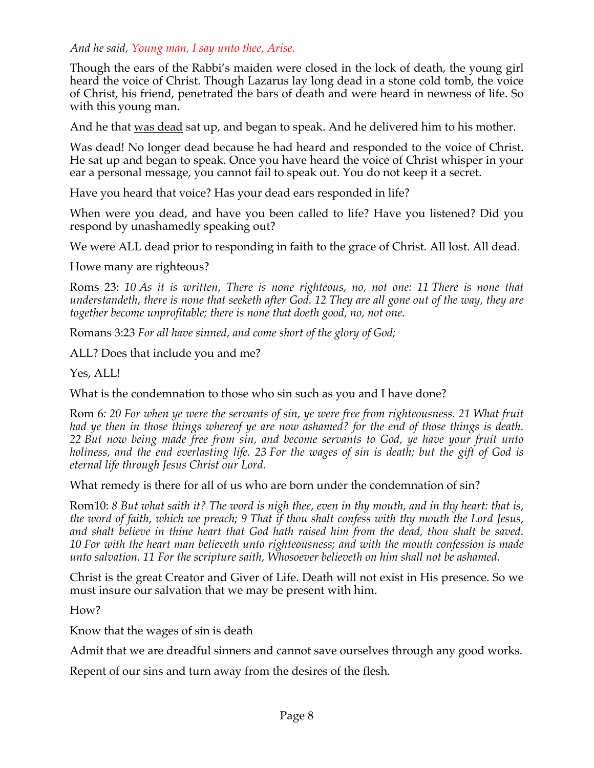## *And he said, Young man, I say unto thee, Arise.*

Though the ears of the Rabbi's maiden were closed in the lock of death, the young girl heard the voice of Christ. Though Lazarus lay long dead in a stone cold tomb, the voice of Christ, his friend, penetrated the bars of death and were heard in newness of life. So with this young man.

And he that was dead sat up, and began to speak. And he delivered him to his mother.

Was dead! No longer dead because he had heard and responded to the voice of Christ. He sat up and began to speak. Once you have heard the voice of Christ whisper in your ear a personal message, you cannot fail to speak out. You do not keep it a secret.

Have you heard that voice? Has your dead ears responded in life?

When were you dead, and have you been called to life? Have you listened? Did you respond by unashamedly speaking out?

We were ALL dead prior to responding in faith to the grace of Christ. All lost. All dead.

Howe many are righteous?

Roms 23: *10 As it is written, There is none righteous, no, not one: 11 There is none that understandeth, there is none that seeketh after God. 12 They are all gone out of the way, they are together become unprofitable; there is none that doeth good, no, not one.*

Romans 3:23 *For all have sinned, and come short of the glory of God;*

ALL? Does that include you and me?

Yes, ALL!

What is the condemnation to those who sin such as you and I have done?

Rom 6*: 20 For when ye were the servants of sin, ye were free from righteousness. 21 What fruit had ye then in those things whereof ye are now ashamed? for the end of those things is death. 22 But now being made free from sin, and become servants to God, ye have your fruit unto holiness, and the end everlasting life. 23 For the wages of sin is death; but the gift of God is eternal life through Jesus Christ our Lord.*

What remedy is there for all of us who are born under the condemnation of sin?

Rom10: *8 But what saith it? The word is nigh thee, even in thy mouth, and in thy heart: that is, the word of faith, which we preach; 9 That if thou shalt confess with thy mouth the Lord Jesus, and shalt believe in thine heart that God hath raised him from the dead, thou shalt be saved. 10 For with the heart man believeth unto righteousness; and with the mouth confession is made unto salvation. 11 For the scripture saith, Whosoever believeth on him shall not be ashamed.*

Christ is the great Creator and Giver of Life. Death will not exist in His presence. So we must insure our salvation that we may be present with him.

How?

Know that the wages of sin is death

Admit that we are dreadful sinners and cannot save ourselves through any good works.

Repent of our sins and turn away from the desires of the flesh.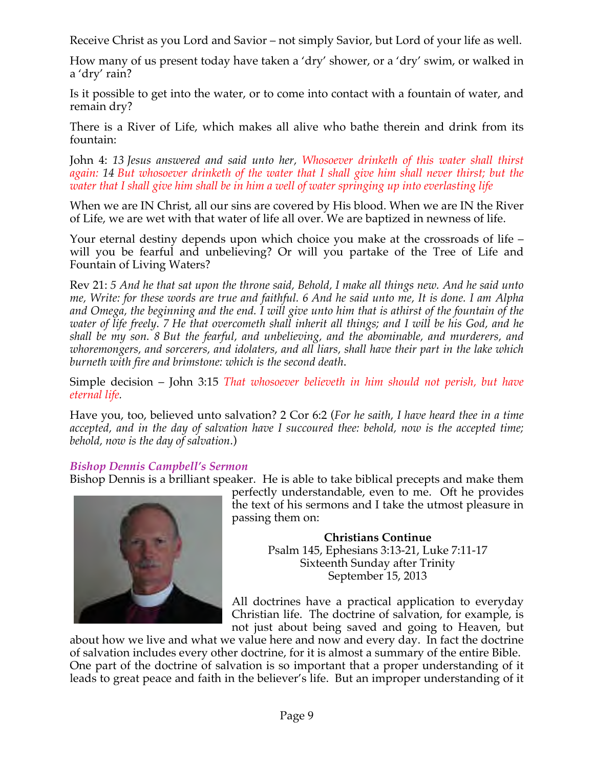Receive Christ as you Lord and Savior – not simply Savior, but Lord of your life as well.

How many of us present today have taken a 'dry' shower, or a 'dry' swim, or walked in a 'dry' rain?

Is it possible to get into the water, or to come into contact with a fountain of water, and remain dry?

There is a River of Life, which makes all alive who bathe therein and drink from its fountain:

John 4: *13 Jesus answered and said unto her, Whosoever drinketh of this water shall thirst again: 14 But whosoever drinketh of the water that I shall give him shall never thirst; but the water that I shall give him shall be in him a well of water springing up into everlasting life*

When we are IN Christ, all our sins are covered by His blood. When we are IN the River of Life, we are wet with that water of life all over. We are baptized in newness of life.

Your eternal destiny depends upon which choice you make at the crossroads of life – will you be fearful and unbelieving? Or will you partake of the Tree of Life and Fountain of Living Waters?

Rev 21: *5 And he that sat upon the throne said, Behold, I make all things new. And he said unto me, Write: for these words are true and faithful. 6 And he said unto me, It is done. I am Alpha and Omega, the beginning and the end. I will give unto him that is athirst of the fountain of the water of life freely. 7 He that overcometh shall inherit all things; and I will be his God, and he shall be my son. 8 But the fearful, and unbelieving, and the abominable, and murderers, and whoremongers, and sorcerers, and idolaters, and all liars, shall have their part in the lake which burneth with fire and brimstone: which is the second death*.

Simple decision – John 3:15 *That whosoever believeth in him should not perish, but have eternal life.*

Have you, too, believed unto salvation? 2 Cor 6:2 (*For he saith, I have heard thee in a time accepted, and in the day of salvation have I succoured thee: behold, now is the accepted time; behold, now is the day of salvation*.)

# *Bishop Dennis Campbell's Sermon*

Bishop Dennis is a brilliant speaker. He is able to take biblical precepts and make them



perfectly understandable, even to me. Oft he provides the text of his sermons and I take the utmost pleasure in passing them on:

> **Christians Continue** Psalm 145, Ephesians 3:13-21, Luke 7:11-17 Sixteenth Sunday after Trinity September 15, 2013

All doctrines have a practical application to everyday Christian life. The doctrine of salvation, for example, is not just about being saved and going to Heaven, but

about how we live and what we value here and now and every day. In fact the doctrine of salvation includes every other doctrine, for it is almost a summary of the entire Bible. One part of the doctrine of salvation is so important that a proper understanding of it leads to great peace and faith in the believer's life. But an improper understanding of it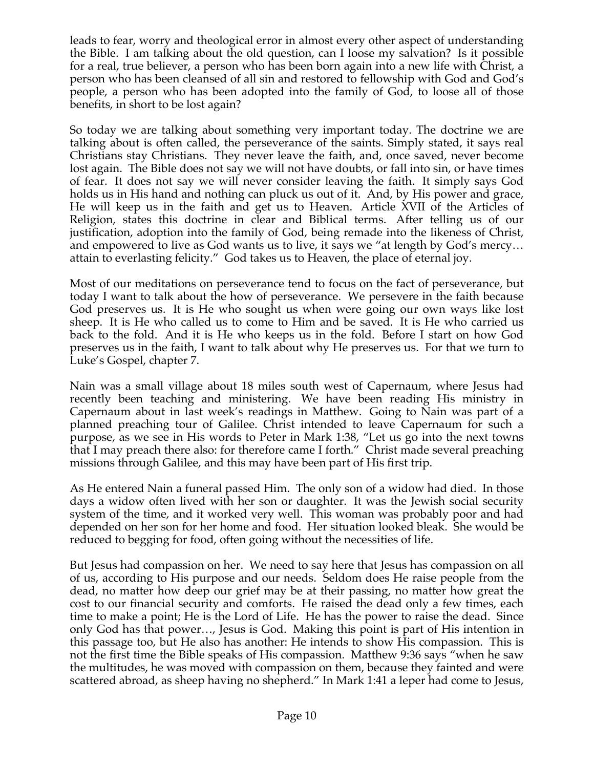leads to fear, worry and theological error in almost every other aspect of understanding the Bible. I am talking about the old question, can I loose my salvation? Is it possible for a real, true believer, a person who has been born again into a new life with Christ, a person who has been cleansed of all sin and restored to fellowship with God and God's people, a person who has been adopted into the family of God, to loose all of those benefits, in short to be lost again?

So today we are talking about something very important today. The doctrine we are talking about is often called, the perseverance of the saints. Simply stated, it says real Christians stay Christians. They never leave the faith, and, once saved, never become lost again. The Bible does not say we will not have doubts, or fall into sin, or have times of fear. It does not say we will never consider leaving the faith. It simply says God holds us in His hand and nothing can pluck us out of it. And, by His power and grace, He will keep us in the faith and get us to Heaven. Article XVII of the Articles of Religion, states this doctrine in clear and Biblical terms. After telling us of our justification, adoption into the family of God, being remade into the likeness of Christ, and empowered to live as God wants us to live, it says we "at length by God's mercy… attain to everlasting felicity." God takes us to Heaven, the place of eternal joy.

Most of our meditations on perseverance tend to focus on the fact of perseverance, but today I want to talk about the how of perseverance. We persevere in the faith because God preserves us. It is He who sought us when were going our own ways like lost sheep. It is He who called us to come to Him and be saved. It is He who carried us back to the fold. And it is He who keeps us in the fold. Before I start on how God preserves us in the faith, I want to talk about why He preserves us. For that we turn to Luke's Gospel, chapter 7.

Nain was a small village about 18 miles south west of Capernaum, where Jesus had recently been teaching and ministering. We have been reading His ministry in Capernaum about in last week's readings in Matthew. Going to Nain was part of a planned preaching tour of Galilee. Christ intended to leave Capernaum for such a purpose, as we see in His words to Peter in Mark 1:38, "Let us go into the next towns that I may preach there also: for therefore came I forth." Christ made several preaching missions through Galilee, and this may have been part of His first trip.

As He entered Nain a funeral passed Him. The only son of a widow had died. In those days a widow often lived with her son or daughter. It was the Jewish social security system of the time, and it worked very well. This woman was probably poor and had depended on her son for her home and food. Her situation looked bleak. She would be reduced to begging for food, often going without the necessities of life.

But Jesus had compassion on her. We need to say here that Jesus has compassion on all of us, according to His purpose and our needs. Seldom does He raise people from the dead, no matter how deep our grief may be at their passing, no matter how great the cost to our financial security and comforts. He raised the dead only a few times, each time to make a point; He is the Lord of Life. He has the power to raise the dead. Since only God has that power…, Jesus is God. Making this point is part of His intention in this passage too, but He also has another: He intends to show His compassion. This is not the first time the Bible speaks of His compassion. Matthew 9:36 says "when he saw the multitudes, he was moved with compassion on them, because they fainted and were scattered abroad, as sheep having no shepherd." In Mark 1:41 a leper had come to Jesus,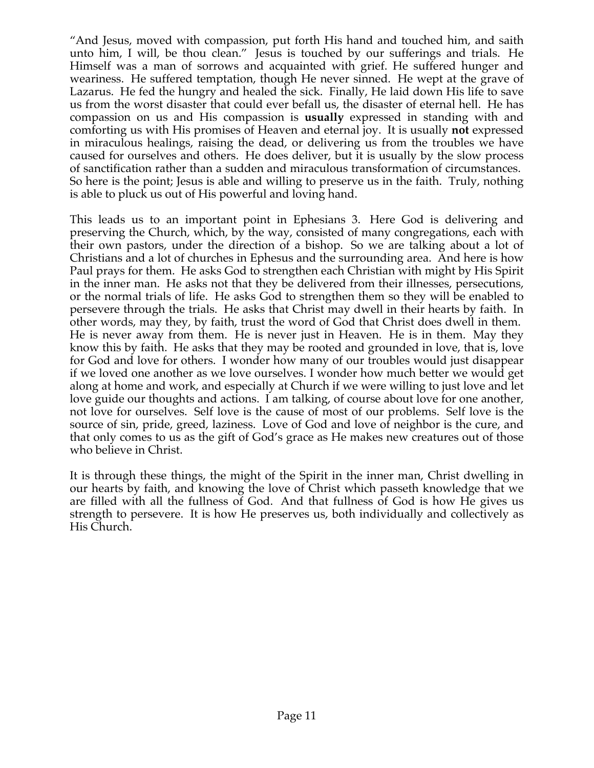"And Jesus, moved with compassion, put forth His hand and touched him, and saith unto him, I will, be thou clean." Jesus is touched by our sufferings and trials. He Himself was a man of sorrows and acquainted with grief. He suffered hunger and weariness. He suffered temptation, though He never sinned. He wept at the grave of Lazarus. He fed the hungry and healed the sick. Finally, He laid down His life to save us from the worst disaster that could ever befall us, the disaster of eternal hell. He has compassion on us and His compassion is **usually** expressed in standing with and comforting us with His promises of Heaven and eternal joy. It is usually **not** expressed in miraculous healings, raising the dead, or delivering us from the troubles we have caused for ourselves and others. He does deliver, but it is usually by the slow process of sanctification rather than a sudden and miraculous transformation of circumstances. So here is the point; Jesus is able and willing to preserve us in the faith. Truly, nothing is able to pluck us out of His powerful and loving hand.

This leads us to an important point in Ephesians 3. Here God is delivering and preserving the Church, which, by the way, consisted of many congregations, each with their own pastors, under the direction of a bishop. So we are talking about a lot of Christians and a lot of churches in Ephesus and the surrounding area. And here is how Paul prays for them. He asks God to strengthen each Christian with might by His Spirit in the inner man. He asks not that they be delivered from their illnesses, persecutions, or the normal trials of life. He asks God to strengthen them so they will be enabled to persevere through the trials. He asks that Christ may dwell in their hearts by faith. In other words, may they, by faith, trust the word of God that Christ does dwell in them. He is never away from them. He is never just in Heaven. He is in them. May they know this by faith. He asks that they may be rooted and grounded in love, that is, love for God and love for others. I wonder how many of our troubles would just disappear if we loved one another as we love ourselves. I wonder how much better we would get along at home and work, and especially at Church if we were willing to just love and let love guide our thoughts and actions. I am talking, of course about love for one another, not love for ourselves. Self love is the cause of most of our problems. Self love is the source of sin, pride, greed, laziness. Love of God and love of neighbor is the cure, and that only comes to us as the gift of God's grace as He makes new creatures out of those who believe in Christ.

It is through these things, the might of the Spirit in the inner man, Christ dwelling in our hearts by faith, and knowing the love of Christ which passeth knowledge that we are filled with all the fullness of God. And that fullness of God is how He gives us strength to persevere. It is how He preserves us, both individually and collectively as His Church.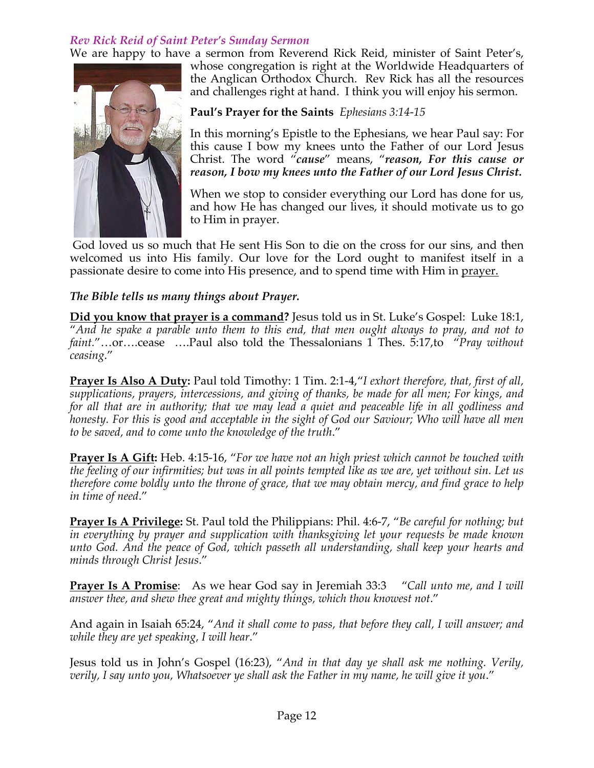# *Rev Rick Reid of Saint Peter's Sunday Sermon*

We are happy to have a sermon from Reverend Rick Reid, minister of Saint Peter's,



whose congregation is right at the Worldwide Headquarters of the Anglican Orthodox Church. Rev Rick has all the resources and challenges right at hand. I think you will enjoy his sermon.

**Paul's Prayer for the Saints** *Ephesians 3:14-15*

In this morning's Epistle to the Ephesians, we hear Paul say: For this cause I bow my knees unto the Father of our Lord Jesus Christ. The word "*cause*" means, "*reason, For this cause or reason, I bow my knees unto the Father of our Lord Jesus Christ.*

When we stop to consider everything our Lord has done for us, and how He has changed our lives, it should motivate us to go to Him in prayer.

 God loved us so much that He sent His Son to die on the cross for our sins, and then welcomed us into His family. Our love for the Lord ought to manifest itself in a passionate desire to come into His presence, and to spend time with Him in prayer.

# *The Bible tells us many things about Prayer.*

**Did you know that prayer is a command?** Jesus told us in St. Luke's Gospel: Luke 18:1, "*And he spake a parable unto them to this end, that men ought always to pray, and not to faint.*"…or….cease ….Paul also told the Thessalonians 1 Thes. 5:17,to "*Pray without ceasing*."

**Prayer Is Also A Duty:** Paul told Timothy: 1 Tim. 2:1-4,"*I exhort therefore, that, first of all, supplications, prayers, intercessions, and giving of thanks, be made for all men; For kings, and for all that are in authority; that we may lead a quiet and peaceable life in all godliness and honesty. For this is good and acceptable in the sight of God our Saviour; Who will have all men to be saved, and to come unto the knowledge of the truth*."

**Prayer Is A Gift:** Heb. 4:15-16, "*For we have not an high priest which cannot be touched with the feeling of our infirmities; but was in all points tempted like as we are, yet without sin. Let us therefore come boldly unto the throne of grace, that we may obtain mercy, and find grace to help in time of need*."

**Prayer Is A Privilege:** St. Paul told the Philippians: Phil. 4:6-7, "*Be careful for nothing; but in everything by prayer and supplication with thanksgiving let your requests be made known unto God. And the peace of God, which passeth all understanding, shall keep your hearts and minds through Christ Jesus*."

**Prayer Is A Promise**: As we hear God say in Jeremiah 33:3 "*Call unto me, and I will answer thee, and shew thee great and mighty things, which thou knowest not*."

And again in Isaiah 65:24, "*And it shall come to pass, that before they call, I will answer; and while they are yet speaking, I will hear*."

Jesus told us in John's Gospel (16:23), "*And in that day ye shall ask me nothing. Verily, verily, I say unto you, Whatsoever ye shall ask the Father in my name, he will give it you*."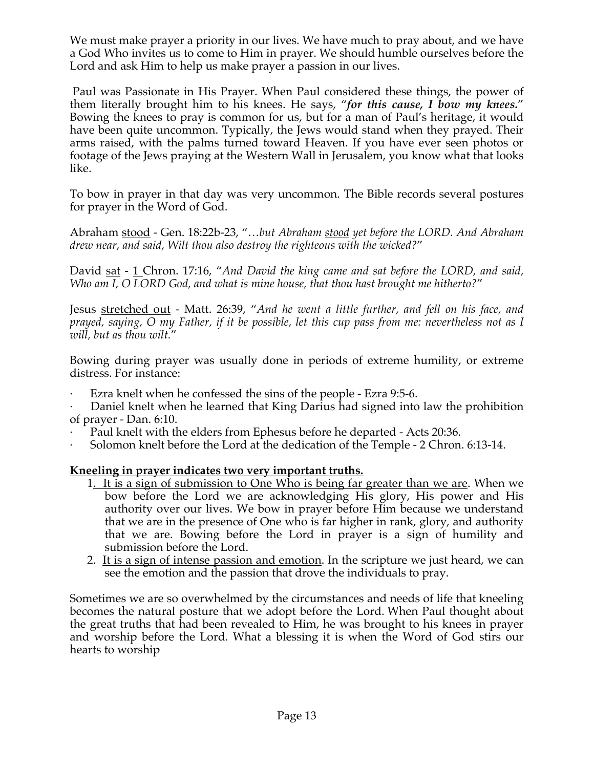We must make prayer a priority in our lives. We have much to pray about, and we have a God Who invites us to come to Him in prayer. We should humble ourselves before the Lord and ask Him to help us make prayer a passion in our lives.

Paul was Passionate in His Prayer. When Paul considered these things, the power of them literally brought him to his knees. He says, "*for this cause, I bow my knees.*" Bowing the knees to pray is common for us, but for a man of Paul's heritage, it would have been quite uncommon. Typically, the Jews would stand when they prayed. Their arms raised, with the palms turned toward Heaven. If you have ever seen photos or footage of the Jews praying at the Western Wall in Jerusalem, you know what that looks like.

To bow in prayer in that day was very uncommon. The Bible records several postures for prayer in the Word of God.

Abraham stood - Gen. 18:22b-23, "…*but Abraham stood yet before the LORD. And Abraham drew near, and said, Wilt thou also destroy the righteous with the wicked?*"

David sat - 1 Chron. 17:16, "And David the king came and sat before the LORD, and said, *Who am I, O LORD God, and what is mine house, that thou hast brought me hitherto?*"

Jesus stretched out - Matt. 26:39, "*And he went a little further, and fell on his face, and prayed, saying, O my Father, if it be possible, let this cup pass from me: nevertheless not as I will, but as thou wilt.*"

Bowing during prayer was usually done in periods of extreme humility, or extreme distress. For instance:

- Ezra knelt when he confessed the sins of the people Ezra 9:5-6.
- Daniel knelt when he learned that King Darius had signed into law the prohibition of prayer - Dan. 6:10.
- Paul knelt with the elders from Ephesus before he departed Acts 20:36.
- Solomon knelt before the Lord at the dedication of the Temple 2 Chron. 6:13-14.

### **Kneeling in prayer indicates two very important truths.**

- 1. It is a sign of submission to One Who is being far greater than we are. When we bow before the Lord we are acknowledging His glory, His power and His authority over our lives. We bow in prayer before Him because we understand that we are in the presence of One who is far higher in rank, glory, and authority that we are. Bowing before the Lord in prayer is a sign of humility and submission before the Lord.
- 2. It is a sign of intense passion and emotion. In the scripture we just heard, we can see the emotion and the passion that drove the individuals to pray.

Sometimes we are so overwhelmed by the circumstances and needs of life that kneeling becomes the natural posture that we adopt before the Lord. When Paul thought about the great truths that had been revealed to Him, he was brought to his knees in prayer and worship before the Lord. What a blessing it is when the Word of God stirs our hearts to worship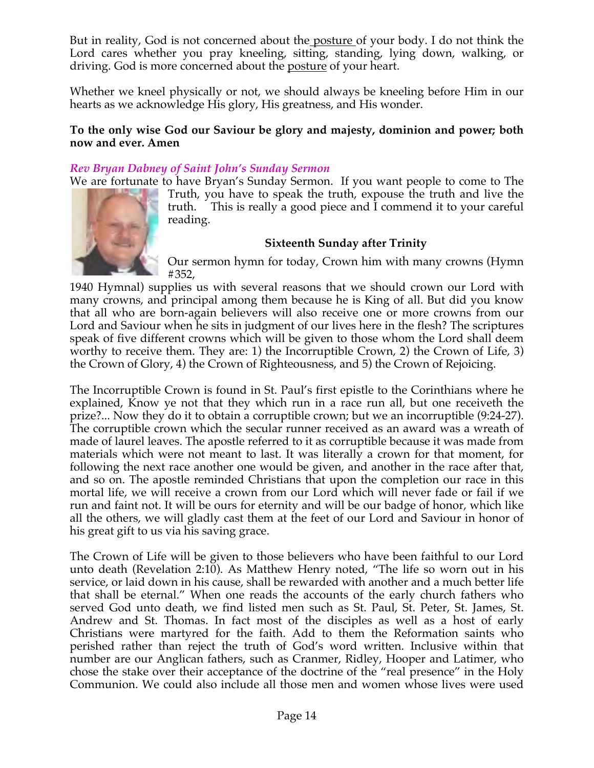But in reality, God is not concerned about the posture of your body. I do not think the Lord cares whether you pray kneeling, sitting, standing, lying down, walking, or driving. God is more concerned about the posture of your heart.

Whether we kneel physically or not, we should always be kneeling before Him in our hearts as we acknowledge His glory, His greatness, and His wonder.

### **To the only wise God our Saviour be glory and majesty, dominion and power; both now and ever. Amen**

## *Rev Bryan Dabney of Saint John's Sunday Sermon*

We are fortunate to have Bryan's Sunday Sermon. If you want people to come to The



Truth, you have to speak the truth, expouse the truth and live the truth. This is really a good piece and I commend it to your careful reading.

## **Sixteenth Sunday after Trinity**

Our sermon hymn for today, Crown him with many crowns (Hymn #352,

1940 Hymnal) supplies us with several reasons that we should crown our Lord with many crowns, and principal among them because he is King of all. But did you know that all who are born-again believers will also receive one or more crowns from our Lord and Saviour when he sits in judgment of our lives here in the flesh? The scriptures speak of five different crowns which will be given to those whom the Lord shall deem worthy to receive them. They are: 1) the Incorruptible Crown, 2) the Crown of Life, 3) the Crown of Glory, 4) the Crown of Righteousness, and 5) the Crown of Rejoicing.

The Incorruptible Crown is found in St. Paul's first epistle to the Corinthians where he explained, Know ye not that they which run in a race run all, but one receiveth the prize?... Now they do it to obtain a corruptible crown; but we an incorruptible (9:24-27). The corruptible crown which the secular runner received as an award was a wreath of made of laurel leaves. The apostle referred to it as corruptible because it was made from materials which were not meant to last. It was literally a crown for that moment, for following the next race another one would be given, and another in the race after that, and so on. The apostle reminded Christians that upon the completion our race in this mortal life, we will receive a crown from our Lord which will never fade or fail if we run and faint not. It will be ours for eternity and will be our badge of honor, which like all the others, we will gladly cast them at the feet of our Lord and Saviour in honor of his great gift to us via his saving grace.

The Crown of Life will be given to those believers who have been faithful to our Lord unto death (Revelation 2:10). As Matthew Henry noted, "The life so worn out in his service, or laid down in his cause, shall be rewarded with another and a much better life that shall be eternal." When one reads the accounts of the early church fathers who served God unto death, we find listed men such as St. Paul, St. Peter, St. James, St. Andrew and St. Thomas. In fact most of the disciples as well as a host of early Christians were martyred for the faith. Add to them the Reformation saints who perished rather than reject the truth of God's word written. Inclusive within that number are our Anglican fathers, such as Cranmer, Ridley, Hooper and Latimer, who chose the stake over their acceptance of the doctrine of the "real presence" in the Holy Communion. We could also include all those men and women whose lives were used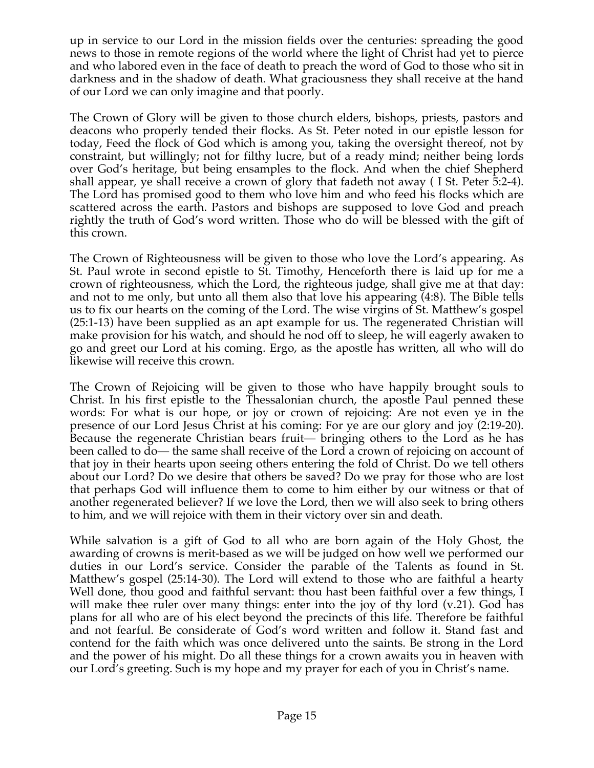up in service to our Lord in the mission fields over the centuries: spreading the good news to those in remote regions of the world where the light of Christ had yet to pierce and who labored even in the face of death to preach the word of God to those who sit in darkness and in the shadow of death. What graciousness they shall receive at the hand of our Lord we can only imagine and that poorly.

The Crown of Glory will be given to those church elders, bishops, priests, pastors and deacons who properly tended their flocks. As St. Peter noted in our epistle lesson for today, Feed the flock of God which is among you, taking the oversight thereof, not by constraint, but willingly; not for filthy lucre, but of a ready mind; neither being lords over God's heritage, but being ensamples to the flock. And when the chief Shepherd shall appear, ye shall receive a crown of glory that fadeth not away ( I St. Peter 5:2-4). The Lord has promised good to them who love him and who feed his flocks which are scattered across the earth. Pastors and bishops are supposed to love God and preach rightly the truth of God's word written. Those who do will be blessed with the gift of this crown.

The Crown of Righteousness will be given to those who love the Lord's appearing. As St. Paul wrote in second epistle to St. Timothy, Henceforth there is laid up for me a crown of righteousness, which the Lord, the righteous judge, shall give me at that day: and not to me only, but unto all them also that love his appearing (4:8). The Bible tells us to fix our hearts on the coming of the Lord. The wise virgins of St. Matthew's gospel (25:1-13) have been supplied as an apt example for us. The regenerated Christian will make provision for his watch, and should he nod off to sleep, he will eagerly awaken to go and greet our Lord at his coming. Ergo, as the apostle has written, all who will do likewise will receive this crown.

The Crown of Rejoicing will be given to those who have happily brought souls to Christ. In his first epistle to the Thessalonian church, the apostle Paul penned these words: For what is our hope, or joy or crown of rejoicing: Are not even ye in the presence of our Lord Jesus Christ at his coming: For ye are our glory and joy (2:19-20). Because the regenerate Christian bears fruit— bringing others to the Lord as he has been called to do— the same shall receive of the Lord a crown of rejoicing on account of that joy in their hearts upon seeing others entering the fold of Christ. Do we tell others about our Lord? Do we desire that others be saved? Do we pray for those who are lost that perhaps God will influence them to come to him either by our witness or that of another regenerated believer? If we love the Lord, then we will also seek to bring others to him, and we will rejoice with them in their victory over sin and death.

While salvation is a gift of God to all who are born again of the Holy Ghost, the awarding of crowns is merit-based as we will be judged on how well we performed our duties in our Lord's service. Consider the parable of the Talents as found in St. Matthew's gospel (25:14-30). The Lord will extend to those who are faithful a hearty Well done, thou good and faithful servant: thou hast been faithful over a few things, I will make thee ruler over many things: enter into the joy of thy lord (v.21). God has plans for all who are of his elect beyond the precincts of this life. Therefore be faithful and not fearful. Be considerate of God's word written and follow it. Stand fast and contend for the faith which was once delivered unto the saints. Be strong in the Lord and the power of his might. Do all these things for a crown awaits you in heaven with our Lord's greeting. Such is my hope and my prayer for each of you in Christ's name.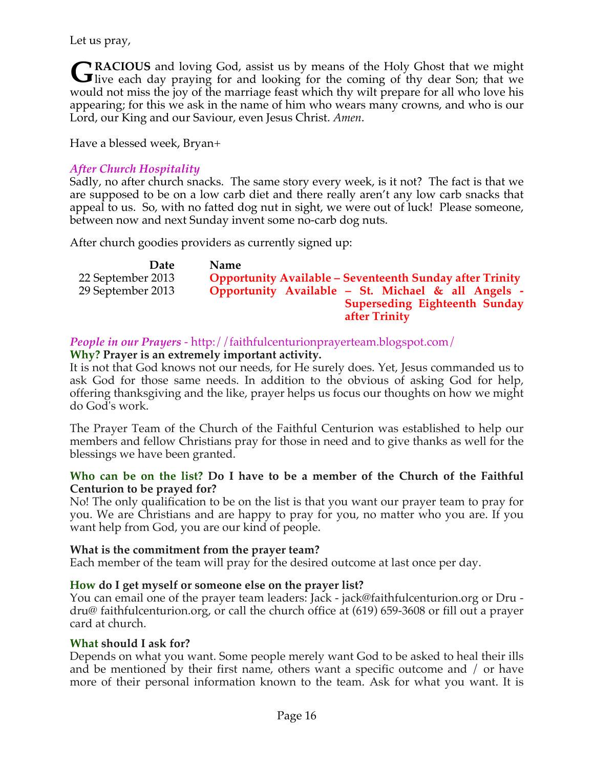Let us pray,

**RACIOUS** and loving God, assist us by means of the Holy Ghost that we might GRACIOUS and loving God, assist us by means of the Holy Ghost that we might live each day praying for and looking for the coming of thy dear Son; that we would not miss the joy of the marriage feast which thy wilt prepare for all who love his appearing; for this we ask in the name of him who wears many crowns, and who is our Lord, our King and our Saviour, even Jesus Christ. *Amen*.

Have a blessed week, Bryan+

# *After Church Hospitality*

Sadly, no after church snacks. The same story every week, is it not? The fact is that we are supposed to be on a low carb diet and there really aren't any low carb snacks that appeal to us. So, with no fatted dog nut in sight, we were out of luck! Please someone, between now and next Sunday invent some no-carb dog nuts.

After church goodies providers as currently signed up:

| <b>Date</b>       | <b>Name</b>                                                     |
|-------------------|-----------------------------------------------------------------|
| 22 September 2013 | <b>Opportunity Available – Seventeenth Sunday after Trinity</b> |
| 29 September 2013 | Opportunity Available - St. Michael & all Angels -              |
|                   | <b>Superseding Eighteenth Sunday</b>                            |
|                   | after Trinity                                                   |

## *People in our Prayers* - http://faithfulcenturionprayerteam.blogspot.com/

### **Why? Prayer is an extremely important activity.**

It is not that God knows not our needs, for He surely does. Yet, Jesus commanded us to ask God for those same needs. In addition to the obvious of asking God for help, offering thanksgiving and the like, prayer helps us focus our thoughts on how we might do God's work.

The Prayer Team of the Church of the Faithful Centurion was established to help our members and fellow Christians pray for those in need and to give thanks as well for the blessings we have been granted.

## **Who can be on the list? Do I have to be a member of the Church of the Faithful Centurion to be prayed for?**

No! The only qualification to be on the list is that you want our prayer team to pray for you. We are Christians and are happy to pray for you, no matter who you are. If you want help from God, you are our kind of people.

### **What is the commitment from the prayer team?**

Each member of the team will pray for the desired outcome at last once per day.

### **How do I get myself or someone else on the prayer list?**

You can email one of the prayer team leaders: Jack - jack@faithfulcenturion.org or Dru dru@ faithfulcenturion.org, or call the church office at (619) 659-3608 or fill out a prayer card at church.

### **What should I ask for?**

Depends on what you want. Some people merely want God to be asked to heal their ills and be mentioned by their first name, others want a specific outcome and / or have more of their personal information known to the team. Ask for what you want. It is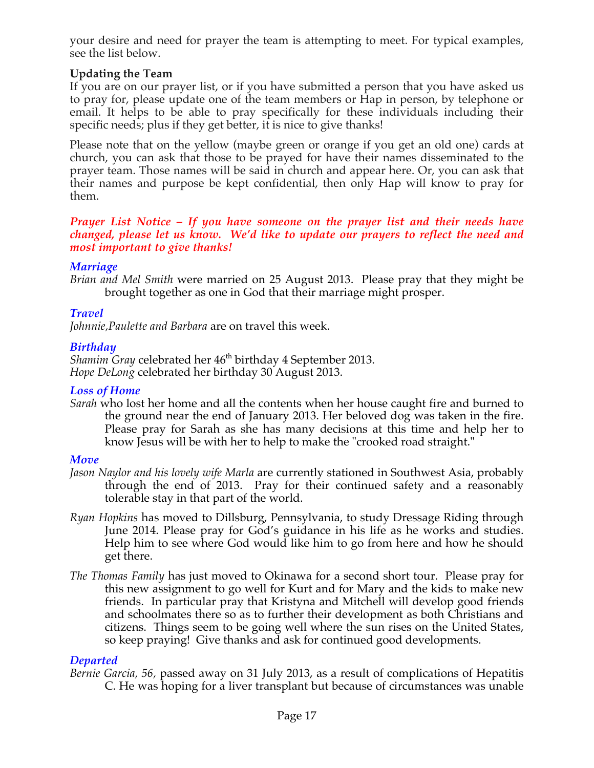your desire and need for prayer the team is attempting to meet. For typical examples, see the list below.

# **Updating the Team**

If you are on our prayer list, or if you have submitted a person that you have asked us to pray for, please update one of the team members or Hap in person, by telephone or email. It helps to be able to pray specifically for these individuals including their specific needs; plus if they get better, it is nice to give thanks!

Please note that on the yellow (maybe green or orange if you get an old one) cards at church, you can ask that those to be prayed for have their names disseminated to the prayer team. Those names will be said in church and appear here. Or, you can ask that their names and purpose be kept confidential, then only Hap will know to pray for them.

*Prayer List Notice – If you have someone on the prayer list and their needs have changed, please let us know. We'd like to update our prayers to reflect the need and most important to give thanks!*

## *Marriage*

*Brian and Mel Smith* were married on 25 August 2013. Please pray that they might be brought together as one in God that their marriage might prosper.

# *Travel*

*Johnnie,Paulette and Barbara* are on travel this week.

# *Birthday*

*Shamim Gray* celebrated her 46<sup>th</sup> birthday 4 September 2013. *Hope DeLong* celebrated her birthday 30 August 2013.

## *Loss of Home*

*Sarah* who lost her home and all the contents when her house caught fire and burned to the ground near the end of January 2013. Her beloved dog was taken in the fire. Please pray for Sarah as she has many decisions at this time and help her to know Jesus will be with her to help to make the "crooked road straight."

# *Move*

- *Jason Naylor and his lovely wife Marla* are currently stationed in Southwest Asia, probably through the end of 2013. Pray for their continued safety and a reasonably tolerable stay in that part of the world.
- *Ryan Hopkins* has moved to Dillsburg, Pennsylvania, to study Dressage Riding through June 2014. Please pray for God's guidance in his life as he works and studies. Help him to see where God would like him to go from here and how he should get there.
- *The Thomas Family* has just moved to Okinawa for a second short tour. Please pray for this new assignment to go well for Kurt and for Mary and the kids to make new friends. In particular pray that Kristyna and Mitchell will develop good friends and schoolmates there so as to further their development as both Christians and citizens. Things seem to be going well where the sun rises on the United States, so keep praying! Give thanks and ask for continued good developments.

# *Departed*

*Bernie Garcia, 56,* passed away on 31 July 2013, as a result of complications of Hepatitis C. He was hoping for a liver transplant but because of circumstances was unable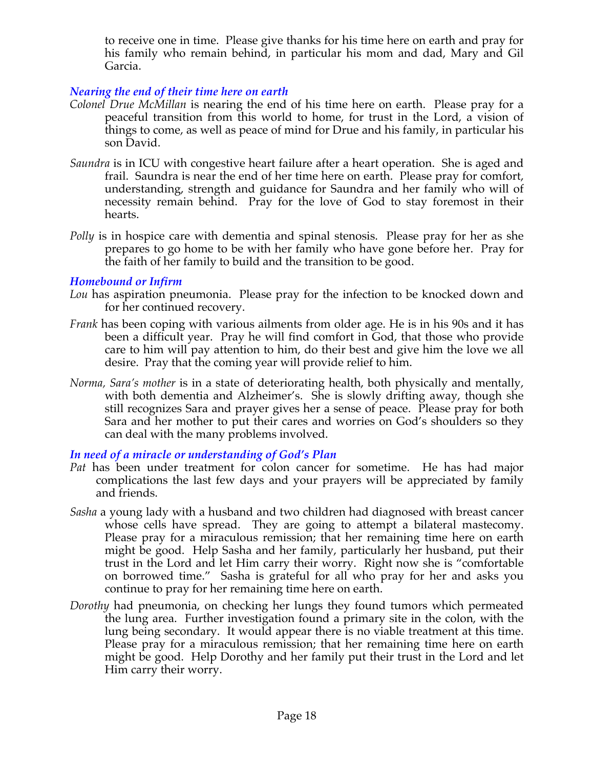to receive one in time. Please give thanks for his time here on earth and pray for his family who remain behind, in particular his mom and dad, Mary and Gil Garcia.

# *Nearing the end of their time here on earth*

- *Colonel Drue McMillan* is nearing the end of his time here on earth. Please pray for a peaceful transition from this world to home, for trust in the Lord, a vision of things to come, as well as peace of mind for Drue and his family, in particular his son David.
- *Saundra* is in ICU with congestive heart failure after a heart operation. She is aged and frail. Saundra is near the end of her time here on earth. Please pray for comfort, understanding, strength and guidance for Saundra and her family who will of necessity remain behind. Pray for the love of God to stay foremost in their hearts.
- *Polly* is in hospice care with dementia and spinal stenosis. Please pray for her as she prepares to go home to be with her family who have gone before her. Pray for the faith of her family to build and the transition to be good.

#### *Homebound or Infirm*

- *Lou* has aspiration pneumonia. Please pray for the infection to be knocked down and for her continued recovery.
- *Frank* has been coping with various ailments from older age. He is in his 90s and it has been a difficult year. Pray he will find comfort in God, that those who provide care to him will pay attention to him, do their best and give him the love we all desire. Pray that the coming year will provide relief to him.
- *Norma, Sara's mother* is in a state of deteriorating health, both physically and mentally, with both dementia and Alzheimer's. She is slowly drifting away, though she still recognizes Sara and prayer gives her a sense of peace. Please pray for both Sara and her mother to put their cares and worries on God's shoulders so they can deal with the many problems involved.

### *In need of a miracle or understanding of God's Plan*

- *Pat* has been under treatment for colon cancer for sometime. He has had major complications the last few days and your prayers will be appreciated by family and friends.
- *Sasha* a young lady with a husband and two children had diagnosed with breast cancer whose cells have spread. They are going to attempt a bilateral mastecomy. Please pray for a miraculous remission; that her remaining time here on earth might be good. Help Sasha and her family, particularly her husband, put their trust in the Lord and let Him carry their worry. Right now she is "comfortable on borrowed time." Sasha is grateful for all who pray for her and asks you continue to pray for her remaining time here on earth.
- *Dorothy* had pneumonia, on checking her lungs they found tumors which permeated the lung area. Further investigation found a primary site in the colon, with the lung being secondary. It would appear there is no viable treatment at this time. Please pray for a miraculous remission; that her remaining time here on earth might be good. Help Dorothy and her family put their trust in the Lord and let Him carry their worry.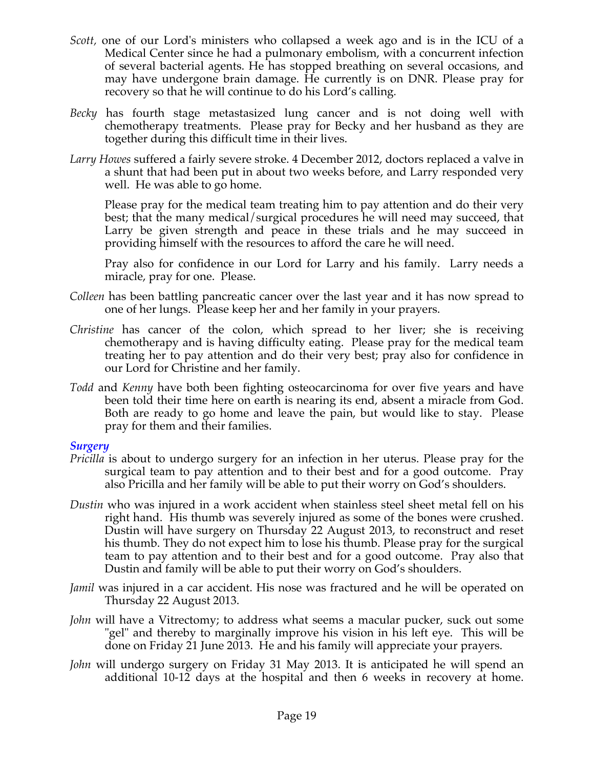- *Scott,* one of our Lord's ministers who collapsed a week ago and is in the ICU of a Medical Center since he had a pulmonary embolism, with a concurrent infection of several bacterial agents. He has stopped breathing on several occasions, and may have undergone brain damage. He currently is on DNR. Please pray for recovery so that he will continue to do his Lord's calling*.*
- *Becky* has fourth stage metastasized lung cancer and is not doing well with chemotherapy treatments. Please pray for Becky and her husband as they are together during this difficult time in their lives.
- *Larry Howes* suffered a fairly severe stroke. 4 December 2012, doctors replaced a valve in a shunt that had been put in about two weeks before, and Larry responded very well. He was able to go home.

Please pray for the medical team treating him to pay attention and do their very best; that the many medical/surgical procedures he will need may succeed, that Larry be given strength and peace in these trials and he may succeed in providing himself with the resources to afford the care he will need.

Pray also for confidence in our Lord for Larry and his family. Larry needs a miracle, pray for one. Please.

- *Colleen* has been battling pancreatic cancer over the last year and it has now spread to one of her lungs. Please keep her and her family in your prayers.
- *Christine* has cancer of the colon, which spread to her liver; she is receiving chemotherapy and is having difficulty eating. Please pray for the medical team treating her to pay attention and do their very best; pray also for confidence in our Lord for Christine and her family.
- *Todd* and *Kenny* have both been fighting osteocarcinoma for over five years and have been told their time here on earth is nearing its end, absent a miracle from God. Both are ready to go home and leave the pain, but would like to stay. Please pray for them and their families.

### *Surgery*

- *Pricilla* is about to undergo surgery for an infection in her uterus. Please pray for the surgical team to pay attention and to their best and for a good outcome. Pray also Pricilla and her family will be able to put their worry on God's shoulders.
- *Dustin* who was injured in a work accident when stainless steel sheet metal fell on his right hand. His thumb was severely injured as some of the bones were crushed. Dustin will have surgery on Thursday 22 August 2013, to reconstruct and reset his thumb. They do not expect him to lose his thumb. Please pray for the surgical team to pay attention and to their best and for a good outcome. Pray also that Dustin and family will be able to put their worry on God's shoulders.
- *Jamil* was injured in a car accident. His nose was fractured and he will be operated on Thursday 22 August 2013.
- *John* will have a Vitrectomy; to address what seems a macular pucker, suck out some "gel" and thereby to marginally improve his vision in his left eye. This will be done on Friday 21 June 2013. He and his family will appreciate your prayers.
- *John* will undergo surgery on Friday 31 May 2013. It is anticipated he will spend an additional 10-12 days at the hospital and then 6 weeks in recovery at home.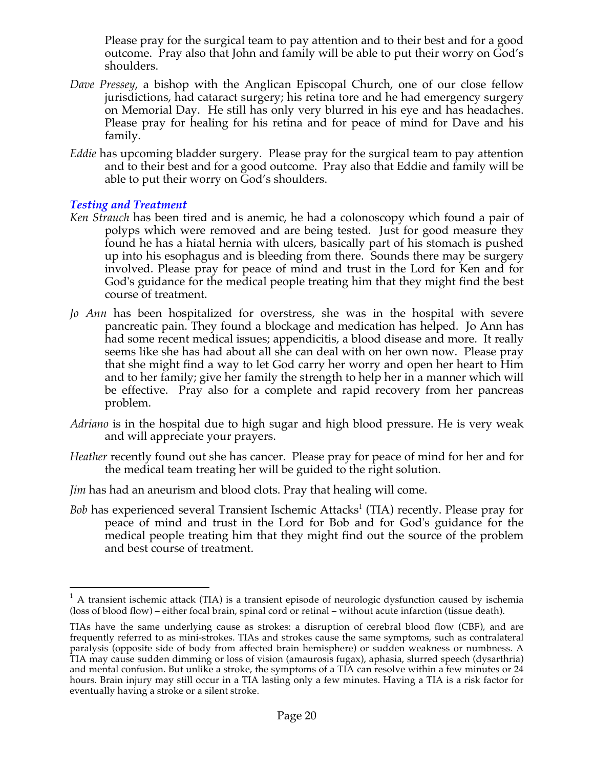Please pray for the surgical team to pay attention and to their best and for a good outcome. Pray also that John and family will be able to put their worry on God's shoulders.

- *Dave Pressey*, a bishop with the Anglican Episcopal Church, one of our close fellow jurisdictions, had cataract surgery; his retina tore and he had emergency surgery on Memorial Day. He still has only very blurred in his eye and has headaches. Please pray for healing for his retina and for peace of mind for Dave and his family.
- *Eddie* has upcoming bladder surgery. Please pray for the surgical team to pay attention and to their best and for a good outcome. Pray also that Eddie and family will be able to put their worry on God's shoulders.

## *Testing and Treatment*

- *Ken Strauch* has been tired and is anemic, he had a colonoscopy which found a pair of polyps which were removed and are being tested. Just for good measure they found he has a hiatal hernia with ulcers, basically part of his stomach is pushed up into his esophagus and is bleeding from there. Sounds there may be surgery involved. Please pray for peace of mind and trust in the Lord for Ken and for God's guidance for the medical people treating him that they might find the best course of treatment.
- *Jo Ann* has been hospitalized for overstress, she was in the hospital with severe pancreatic pain. They found a blockage and medication has helped. Jo Ann has had some recent medical issues; appendicitis, a blood disease and more. It really seems like she has had about all she can deal with on her own now. Please pray that she might find a way to let God carry her worry and open her heart to Him and to her family; give her family the strength to help her in a manner which will be effective. Pray also for a complete and rapid recovery from her pancreas problem.
- *Adriano* is in the hospital due to high sugar and high blood pressure. He is very weak and will appreciate your prayers.
- *Heather* recently found out she has cancer. Please pray for peace of mind for her and for the medical team treating her will be guided to the right solution.
- *Jim* has had an aneurism and blood clots. Pray that healing will come.
- *Bob* has experienced several Transient Ischemic Attacks<sup>1</sup> (TIA) recently. Please pray for peace of mind and trust in the Lord for Bob and for God's guidance for the medical people treating him that they might find out the source of the problem and best course of treatment.

 $1$  A transient ischemic attack (TIA) is a transient episode of neurologic dysfunction caused by ischemia (loss of blood flow) – either focal brain, spinal cord or retinal – without acute infarction (tissue death).

TIAs have the same underlying cause as strokes: a disruption of cerebral blood flow (CBF), and are frequently referred to as mini-strokes. TIAs and strokes cause the same symptoms, such as contralateral paralysis (opposite side of body from affected brain hemisphere) or sudden weakness or numbness. A TIA may cause sudden dimming or loss of vision (amaurosis fugax), aphasia, slurred speech (dysarthria) and mental confusion. But unlike a stroke, the symptoms of a TIA can resolve within a few minutes or 24 hours. Brain injury may still occur in a TIA lasting only a few minutes. Having a TIA is a risk factor for eventually having a stroke or a silent stroke.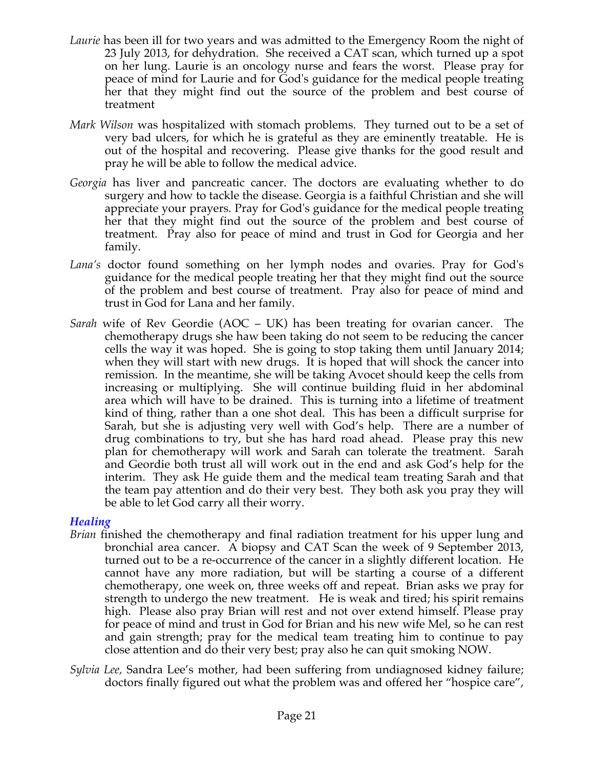- *Laurie* has been ill for two years and was admitted to the Emergency Room the night of 23 July 2013, for dehydration. She received a CAT scan, which turned up a spot on her lung. Laurie is an oncology nurse and fears the worst. Please pray for peace of mind for Laurie and for God's guidance for the medical people treating her that they might find out the source of the problem and best course of treatment
- *Mark Wilson* was hospitalized with stomach problems. They turned out to be a set of very bad ulcers, for which he is grateful as they are eminently treatable. He is out of the hospital and recovering. Please give thanks for the good result and pray he will be able to follow the medical advice.
- *Georgia* has liver and pancreatic cancer. The doctors are evaluating whether to do surgery and how to tackle the disease. Georgia is a faithful Christian and she will appreciate your prayers. Pray for God's guidance for the medical people treating her that they might find out the source of the problem and best course of treatment. Pray also for peace of mind and trust in God for Georgia and her family.
- *Lana's* doctor found something on her lymph nodes and ovaries. Pray for God's guidance for the medical people treating her that they might find out the source of the problem and best course of treatment. Pray also for peace of mind and trust in God for Lana and her family.
- *Sarah* wife of Rev Geordie (AOC UK) has been treating for ovarian cancer. The chemotherapy drugs she haw been taking do not seem to be reducing the cancer cells the way it was hoped. She is going to stop taking them until January 2014; when they will start with new drugs. It is hoped that will shock the cancer into remission. In the meantime, she will be taking Avocet should keep the cells from increasing or multiplying. She will continue building fluid in her abdominal area which will have to be drained. This is turning into a lifetime of treatment kind of thing, rather than a one shot deal. This has been a difficult surprise for Sarah, but she is adjusting very well with God's help. There are a number of drug combinations to try, but she has hard road ahead. Please pray this new plan for chemotherapy will work and Sarah can tolerate the treatment. Sarah and Geordie both trust all will work out in the end and ask God's help for the interim. They ask He guide them and the medical team treating Sarah and that the team pay attention and do their very best. They both ask you pray they will be able to let God carry all their worry.

### *Healing*

- *Brian* finished the chemotherapy and final radiation treatment for his upper lung and bronchial area cancer. A biopsy and CAT Scan the week of 9 September 2013, turned out to be a re-occurrence of the cancer in a slightly different location. He cannot have any more radiation, but will be starting a course of a different chemotherapy, one week on, three weeks off and repeat. Brian asks we pray for strength to undergo the new treatment. He is weak and tired; his spirit remains high. Please also pray Brian will rest and not over extend himself. Please pray for peace of mind and trust in God for Brian and his new wife Mel, so he can rest and gain strength; pray for the medical team treating him to continue to pay close attention and do their very best; pray also he can quit smoking NOW.
- *Sylvia Lee,* Sandra Lee's mother, had been suffering from undiagnosed kidney failure; doctors finally figured out what the problem was and offered her "hospice care",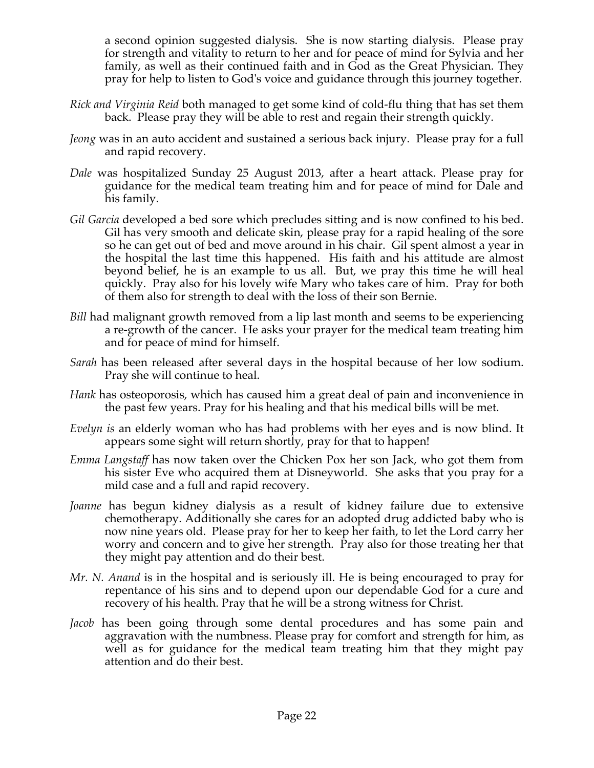a second opinion suggested dialysis. She is now starting dialysis. Please pray for strength and vitality to return to her and for peace of mind for Sylvia and her family, as well as their continued faith and in God as the Great Physician. They pray for help to listen to God's voice and guidance through this journey together.

- *Rick and Virginia Reid* both managed to get some kind of cold-flu thing that has set them back. Please pray they will be able to rest and regain their strength quickly.
- *Jeong* was in an auto accident and sustained a serious back injury. Please pray for a full and rapid recovery.
- *Dale* was hospitalized Sunday 25 August 2013, after a heart attack. Please pray for guidance for the medical team treating him and for peace of mind for Dale and his family.
- *Gil Garcia* developed a bed sore which precludes sitting and is now confined to his bed. Gil has very smooth and delicate skin, please pray for a rapid healing of the sore so he can get out of bed and move around in his chair. Gil spent almost a year in the hospital the last time this happened. His faith and his attitude are almost beyond belief, he is an example to us all. But, we pray this time he will heal quickly. Pray also for his lovely wife Mary who takes care of him. Pray for both of them also for strength to deal with the loss of their son Bernie.
- *Bill* had malignant growth removed from a lip last month and seems to be experiencing a re-growth of the cancer. He asks your prayer for the medical team treating him and for peace of mind for himself.
- *Sarah* has been released after several days in the hospital because of her low sodium. Pray she will continue to heal.
- *Hank* has osteoporosis, which has caused him a great deal of pain and inconvenience in the past few years. Pray for his healing and that his medical bills will be met.
- *Evelyn is* an elderly woman who has had problems with her eyes and is now blind. It appears some sight will return shortly, pray for that to happen!
- *Emma Langstaff* has now taken over the Chicken Pox her son Jack, who got them from his sister Eve who acquired them at Disneyworld. She asks that you pray for a mild case and a full and rapid recovery.
- *Joanne* has begun kidney dialysis as a result of kidney failure due to extensive chemotherapy. Additionally she cares for an adopted drug addicted baby who is now nine years old. Please pray for her to keep her faith, to let the Lord carry her worry and concern and to give her strength. Pray also for those treating her that they might pay attention and do their best.
- *Mr. N. Anand* is in the hospital and is seriously ill. He is being encouraged to pray for repentance of his sins and to depend upon our dependable God for a cure and recovery of his health. Pray that he will be a strong witness for Christ.
- Jacob has been going through some dental procedures and has some pain and aggravation with the numbness. Please pray for comfort and strength for him, as well as for guidance for the medical team treating him that they might pay attention and do their best.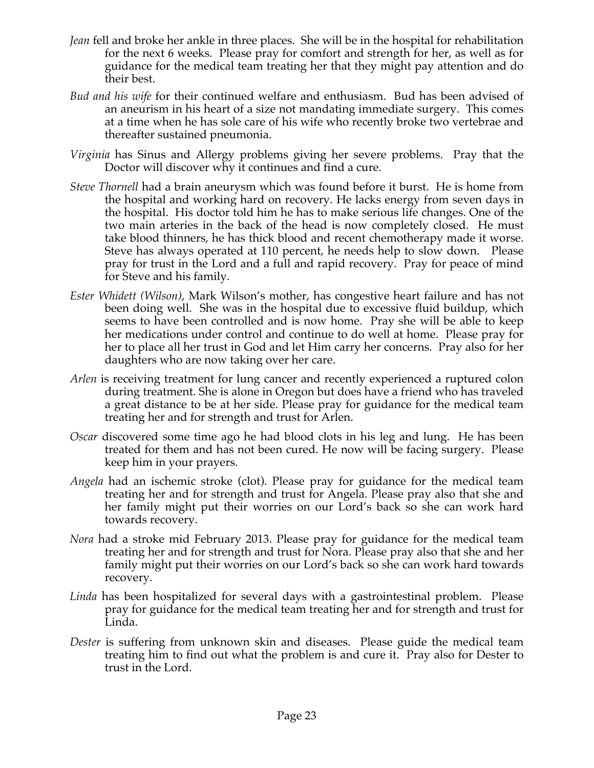- *Jean* fell and broke her ankle in three places. She will be in the hospital for rehabilitation for the next 6 weeks. Please pray for comfort and strength for her, as well as for guidance for the medical team treating her that they might pay attention and do their best.
- *Bud and his wife* for their continued welfare and enthusiasm. Bud has been advised of an aneurism in his heart of a size not mandating immediate surgery. This comes at a time when he has sole care of his wife who recently broke two vertebrae and thereafter sustained pneumonia.
- *Virginia* has Sinus and Allergy problems giving her severe problems. Pray that the Doctor will discover why it continues and find a cure.
- *Steve Thornell* had a brain aneurysm which was found before it burst. He is home from the hospital and working hard on recovery. He lacks energy from seven days in the hospital. His doctor told him he has to make serious life changes. One of the two main arteries in the back of the head is now completely closed. He must take blood thinners, he has thick blood and recent chemotherapy made it worse. Steve has always operated at 110 percent, he needs help to slow down. Please pray for trust in the Lord and a full and rapid recovery. Pray for peace of mind for Steve and his family.
- *Ester Whidett (Wilson)*, Mark Wilson's mother, has congestive heart failure and has not been doing well. She was in the hospital due to excessive fluid buildup, which seems to have been controlled and is now home. Pray she will be able to keep her medications under control and continue to do well at home. Please pray for her to place all her trust in God and let Him carry her concerns. Pray also for her daughters who are now taking over her care.
- *Arlen* is receiving treatment for lung cancer and recently experienced a ruptured colon during treatment. She is alone in Oregon but does have a friend who has traveled a great distance to be at her side. Please pray for guidance for the medical team treating her and for strength and trust for Arlen.
- *Oscar* discovered some time ago he had blood clots in his leg and lung. He has been treated for them and has not been cured. He now will be facing surgery. Please keep him in your prayers.
- *Angela* had an ischemic stroke (clot). Please pray for guidance for the medical team treating her and for strength and trust for Angela. Please pray also that she and her family might put their worries on our Lord's back so she can work hard towards recovery.
- *Nora* had a stroke mid February 2013. Please pray for guidance for the medical team treating her and for strength and trust for Nora. Please pray also that she and her family might put their worries on our Lord's back so she can work hard towards recovery.
- *Linda* has been hospitalized for several days with a gastrointestinal problem. Please pray for guidance for the medical team treating her and for strength and trust for Linda.
- *Dester* is suffering from unknown skin and diseases. Please guide the medical team treating him to find out what the problem is and cure it. Pray also for Dester to trust in the Lord.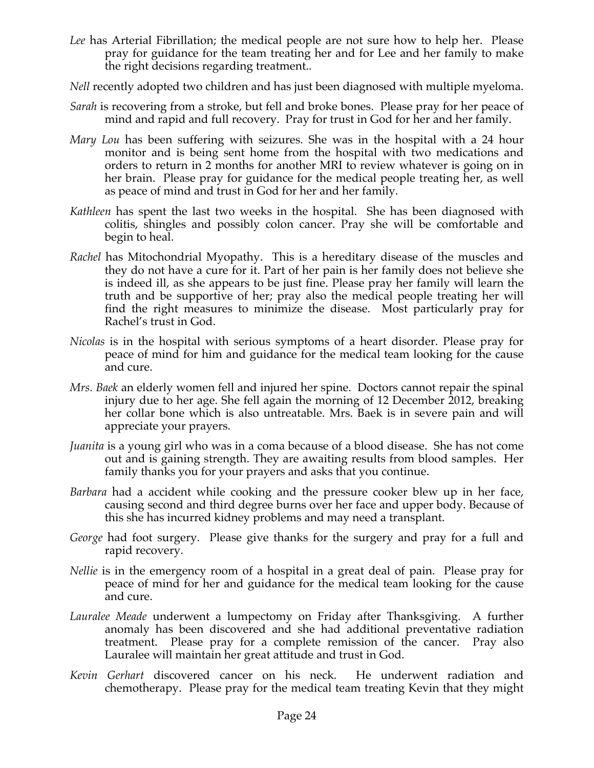- *Lee* has Arterial Fibrillation; the medical people are not sure how to help her. Please pray for guidance for the team treating her and for Lee and her family to make the right decisions regarding treatment..
- *Nell* recently adopted two children and has just been diagnosed with multiple myeloma.
- *Sarah* is recovering from a stroke, but fell and broke bones. Please pray for her peace of mind and rapid and full recovery. Pray for trust in God for her and her family.
- *Mary Lou* has been suffering with seizures. She was in the hospital with a 24 hour monitor and is being sent home from the hospital with two medications and orders to return in 2 months for another MRI to review whatever is going on in her brain. Please pray for guidance for the medical people treating her, as well as peace of mind and trust in God for her and her family.
- *Kathleen* has spent the last two weeks in the hospital. She has been diagnosed with colitis, shingles and possibly colon cancer. Pray she will be comfortable and begin to heal.
- *Rachel* has Mitochondrial Myopathy. This is a hereditary disease of the muscles and they do not have a cure for it. Part of her pain is her family does not believe she is indeed ill, as she appears to be just fine. Please pray her family will learn the truth and be supportive of her; pray also the medical people treating her will find the right measures to minimize the disease. Most particularly pray for Rachel's trust in God.
- *Nicolas* is in the hospital with serious symptoms of a heart disorder. Please pray for peace of mind for him and guidance for the medical team looking for the cause and cure.
- *Mrs. Baek* an elderly women fell and injured her spine. Doctors cannot repair the spinal injury due to her age. She fell again the morning of 12 December 2012, breaking her collar bone which is also untreatable. Mrs. Baek is in severe pain and will appreciate your prayers.
- *Juanita* is a young girl who was in a coma because of a blood disease. She has not come out and is gaining strength. They are awaiting results from blood samples. Her family thanks you for your prayers and asks that you continue.
- *Barbara* had a accident while cooking and the pressure cooker blew up in her face, causing second and third degree burns over her face and upper body. Because of this she has incurred kidney problems and may need a transplant.
- *George* had foot surgery. Please give thanks for the surgery and pray for a full and rapid recovery.
- *Nellie* is in the emergency room of a hospital in a great deal of pain. Please pray for peace of mind for her and guidance for the medical team looking for the cause and cure.
- *Lauralee Meade* underwent a lumpectomy on Friday after Thanksgiving. A further anomaly has been discovered and she had additional preventative radiation treatment. Please pray for a complete remission of the cancer. Pray also Lauralee will maintain her great attitude and trust in God.
- *Kevin Gerhart* discovered cancer on his neck. He underwent radiation and chemotherapy. Please pray for the medical team treating Kevin that they might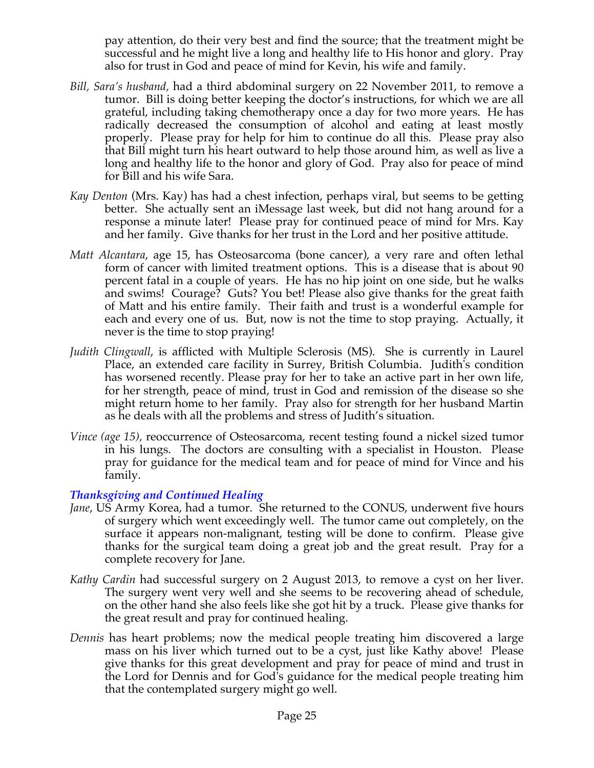pay attention, do their very best and find the source; that the treatment might be successful and he might live a long and healthy life to His honor and glory. Pray also for trust in God and peace of mind for Kevin, his wife and family.

- *Bill, Sara's husband,* had a third abdominal surgery on 22 November 2011, to remove a tumor. Bill is doing better keeping the doctor's instructions, for which we are all grateful, including taking chemotherapy once a day for two more years. He has radically decreased the consumption of alcohol and eating at least mostly properly. Please pray for help for him to continue do all this. Please pray also that Bill might turn his heart outward to help those around him, as well as live a long and healthy life to the honor and glory of God. Pray also for peace of mind for Bill and his wife Sara.
- *Kay Denton* (Mrs. Kay) has had a chest infection, perhaps viral, but seems to be getting better. She actually sent an iMessage last week, but did not hang around for a response a minute later! Please pray for continued peace of mind for Mrs. Kay and her family. Give thanks for her trust in the Lord and her positive attitude.
- *Matt Alcantara*, age 15, has Osteosarcoma (bone cancer), a very rare and often lethal form of cancer with limited treatment options. This is a disease that is about 90 percent fatal in a couple of years. He has no hip joint on one side, but he walks and swims! Courage? Guts? You bet! Please also give thanks for the great faith of Matt and his entire family. Their faith and trust is a wonderful example for each and every one of us. But, now is not the time to stop praying. Actually, it never is the time to stop praying!
- *Judith Clingwall*, is afflicted with Multiple Sclerosis (MS). She is currently in Laurel Place, an extended care facility in Surrey, British Columbia. Judith's condition has worsened recently. Please pray for her to take an active part in her own life, for her strength, peace of mind, trust in God and remission of the disease so she might return home to her family. Pray also for strength for her husband Martin as he deals with all the problems and stress of Judith's situation.
- *Vince (age 15),* reoccurrence of Osteosarcoma, recent testing found a nickel sized tumor in his lungs. The doctors are consulting with a specialist in Houston. Please pray for guidance for the medical team and for peace of mind for Vince and his family.

### *Thanksgiving and Continued Healing*

- *Jane*, US Army Korea, had a tumor. She returned to the CONUS, underwent five hours of surgery which went exceedingly well. The tumor came out completely, on the surface it appears non-malignant, testing will be done to confirm. Please give thanks for the surgical team doing a great job and the great result. Pray for a complete recovery for Jane.
- *Kathy Cardin* had successful surgery on 2 August 2013, to remove a cyst on her liver. The surgery went very well and she seems to be recovering ahead of schedule, on the other hand she also feels like she got hit by a truck. Please give thanks for the great result and pray for continued healing.
- *Dennis* has heart problems; now the medical people treating him discovered a large mass on his liver which turned out to be a cyst, just like Kathy above! Please give thanks for this great development and pray for peace of mind and trust in the Lord for Dennis and for God's guidance for the medical people treating him that the contemplated surgery might go well.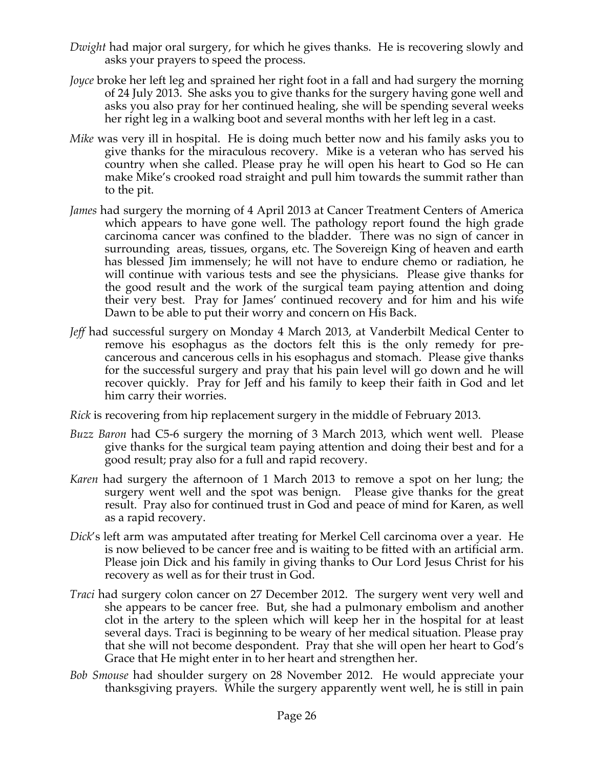- *Dwight* had major oral surgery, for which he gives thanks. He is recovering slowly and asks your prayers to speed the process.
- *Joyce* broke her left leg and sprained her right foot in a fall and had surgery the morning of 24 July 2013. She asks you to give thanks for the surgery having gone well and asks you also pray for her continued healing, she will be spending several weeks her right leg in a walking boot and several months with her left leg in a cast.
- *Mike* was very ill in hospital. He is doing much better now and his family asks you to give thanks for the miraculous recovery. Mike is a veteran who has served his country when she called. Please pray he will open his heart to God so He can make Mike's crooked road straight and pull him towards the summit rather than to the pit.
- *James* had surgery the morning of 4 April 2013 at Cancer Treatment Centers of America which appears to have gone well. The pathology report found the high grade carcinoma cancer was confined to the bladder. There was no sign of cancer in surrounding areas, tissues, organs, etc. The Sovereign King of heaven and earth has blessed Jim immensely; he will not have to endure chemo or radiation, he will continue with various tests and see the physicians. Please give thanks for the good result and the work of the surgical team paying attention and doing their very best. Pray for James' continued recovery and for him and his wife Dawn to be able to put their worry and concern on His Back.
- *Jeff* had successful surgery on Monday 4 March 2013, at Vanderbilt Medical Center to remove his esophagus as the doctors felt this is the only remedy for precancerous and cancerous cells in his esophagus and stomach. Please give thanks for the successful surgery and pray that his pain level will go down and he will recover quickly. Pray for Jeff and his family to keep their faith in God and let him carry their worries.

*Rick* is recovering from hip replacement surgery in the middle of February 2013.

- *Buzz Baron* had C5-6 surgery the morning of 3 March 2013, which went well. Please give thanks for the surgical team paying attention and doing their best and for a good result; pray also for a full and rapid recovery.
- *Karen* had surgery the afternoon of 1 March 2013 to remove a spot on her lung; the surgery went well and the spot was benign. Please give thanks for the great result. Pray also for continued trust in God and peace of mind for Karen, as well as a rapid recovery.
- *Dick*'s left arm was amputated after treating for Merkel Cell carcinoma over a year. He is now believed to be cancer free and is waiting to be fitted with an artificial arm. Please join Dick and his family in giving thanks to Our Lord Jesus Christ for his recovery as well as for their trust in God.
- *Traci* had surgery colon cancer on 27 December 2012. The surgery went very well and she appears to be cancer free. But, she had a pulmonary embolism and another clot in the artery to the spleen which will keep her in the hospital for at least several days. Traci is beginning to be weary of her medical situation. Please pray that she will not become despondent. Pray that she will open her heart to God's Grace that He might enter in to her heart and strengthen her.
- *Bob Smouse* had shoulder surgery on 28 November 2012. He would appreciate your thanksgiving prayers. While the surgery apparently went well, he is still in pain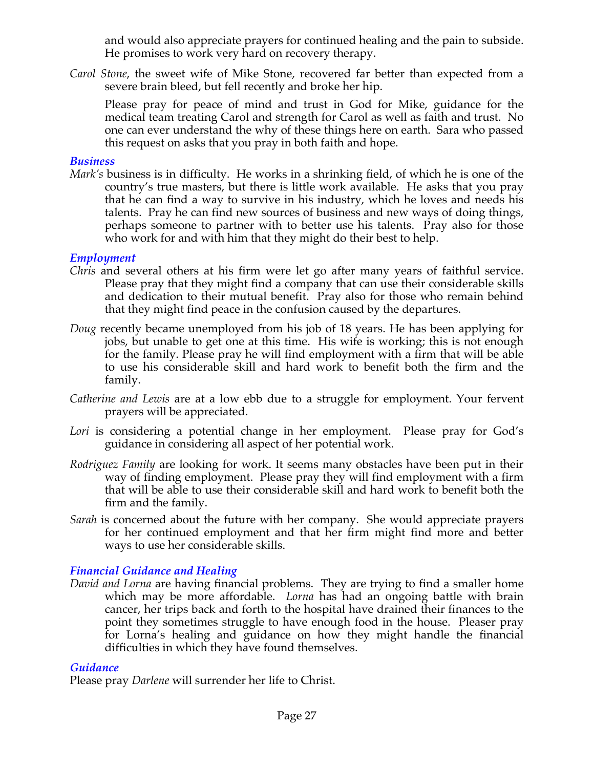and would also appreciate prayers for continued healing and the pain to subside. He promises to work very hard on recovery therapy.

*Carol Stone*, the sweet wife of Mike Stone, recovered far better than expected from a severe brain bleed, but fell recently and broke her hip.

Please pray for peace of mind and trust in God for Mike, guidance for the medical team treating Carol and strength for Carol as well as faith and trust. No one can ever understand the why of these things here on earth. Sara who passed this request on asks that you pray in both faith and hope.

#### *Business*

*Mark's* business is in difficulty. He works in a shrinking field, of which he is one of the country's true masters, but there is little work available. He asks that you pray that he can find a way to survive in his industry, which he loves and needs his talents. Pray he can find new sources of business and new ways of doing things, perhaps someone to partner with to better use his talents. Pray also for those who work for and with him that they might do their best to help.

#### *Employment*

- *Chris* and several others at his firm were let go after many years of faithful service. Please pray that they might find a company that can use their considerable skills and dedication to their mutual benefit. Pray also for those who remain behind that they might find peace in the confusion caused by the departures.
- *Doug* recently became unemployed from his job of 18 years. He has been applying for jobs, but unable to get one at this time. His wife is working; this is not enough for the family. Please pray he will find employment with a firm that will be able to use his considerable skill and hard work to benefit both the firm and the family.
- *Catherine and Lewis* are at a low ebb due to a struggle for employment. Your fervent prayers will be appreciated.
- Lori is considering a potential change in her employment. Please pray for God's guidance in considering all aspect of her potential work.
- *Rodriguez Family* are looking for work. It seems many obstacles have been put in their way of finding employment. Please pray they will find employment with a firm that will be able to use their considerable skill and hard work to benefit both the firm and the family.
- *Sarah* is concerned about the future with her company. She would appreciate prayers for her continued employment and that her firm might find more and better ways to use her considerable skills.

### *Financial Guidance and Healing*

*David and Lorna* are having financial problems. They are trying to find a smaller home which may be more affordable. *Lorna* has had an ongoing battle with brain cancer, her trips back and forth to the hospital have drained their finances to the point they sometimes struggle to have enough food in the house. Pleaser pray for Lorna's healing and guidance on how they might handle the financial difficulties in which they have found themselves.

#### *Guidance*

Please pray *Darlene* will surrender her life to Christ.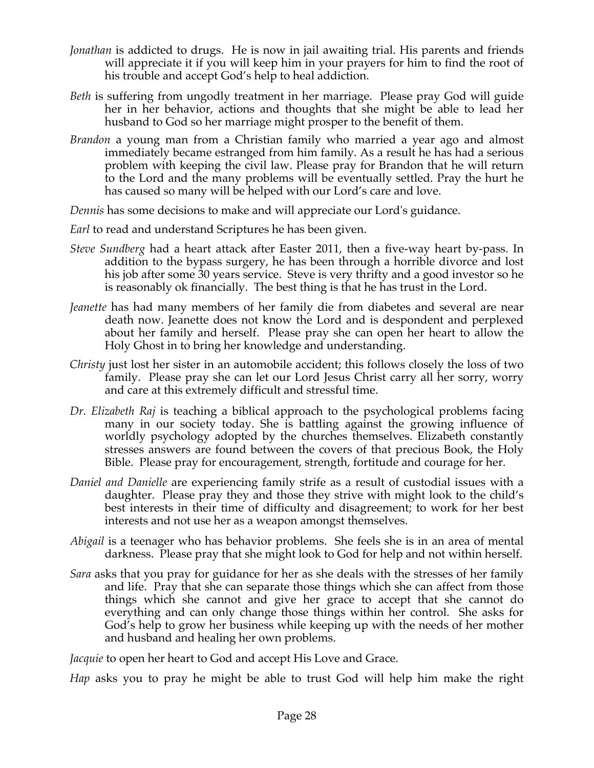- *Jonathan* is addicted to drugs. He is now in jail awaiting trial. His parents and friends will appreciate it if you will keep him in your prayers for him to find the root of his trouble and accept God's help to heal addiction.
- *Beth* is suffering from ungodly treatment in her marriage. Please pray God will guide her in her behavior, actions and thoughts that she might be able to lead her husband to God so her marriage might prosper to the benefit of them.
- *Brandon* a young man from a Christian family who married a year ago and almost immediately became estranged from him family. As a result he has had a serious problem with keeping the civil law. Please pray for Brandon that he will return to the Lord and the many problems will be eventually settled. Pray the hurt he has caused so many will be helped with our Lord's care and love.
- *Dennis* has some decisions to make and will appreciate our Lord's guidance.
- *Earl* to read and understand Scriptures he has been given.
- *Steve Sundberg* had a heart attack after Easter 2011, then a five-way heart by-pass. In addition to the bypass surgery, he has been through a horrible divorce and lost his job after some 30 years service. Steve is very thrifty and a good investor so he is reasonably ok financially. The best thing is that he has trust in the Lord.
- *Jeanette* has had many members of her family die from diabetes and several are near death now. Jeanette does not know the Lord and is despondent and perplexed about her family and herself. Please pray she can open her heart to allow the Holy Ghost in to bring her knowledge and understanding.
- *Christy* just lost her sister in an automobile accident; this follows closely the loss of two family. Please pray she can let our Lord Jesus Christ carry all her sorry, worry and care at this extremely difficult and stressful time.
- *Dr. Elizabeth Raj* is teaching a biblical approach to the psychological problems facing many in our society today. She is battling against the growing influence of worldly psychology adopted by the churches themselves. Elizabeth constantly stresses answers are found between the covers of that precious Book, the Holy Bible. Please pray for encouragement, strength, fortitude and courage for her.
- *Daniel and Danielle* are experiencing family strife as a result of custodial issues with a daughter. Please pray they and those they strive with might look to the child's best interests in their time of difficulty and disagreement; to work for her best interests and not use her as a weapon amongst themselves.
- *Abigail* is a teenager who has behavior problems. She feels she is in an area of mental darkness. Please pray that she might look to God for help and not within herself.
- *Sara* asks that you pray for guidance for her as she deals with the stresses of her family and life. Pray that she can separate those things which she can affect from those things which she cannot and give her grace to accept that she cannot do everything and can only change those things within her control. She asks for God's help to grow her business while keeping up with the needs of her mother and husband and healing her own problems.

*Jacquie* to open her heart to God and accept His Love and Grace.

*Hap* asks you to pray he might be able to trust God will help him make the right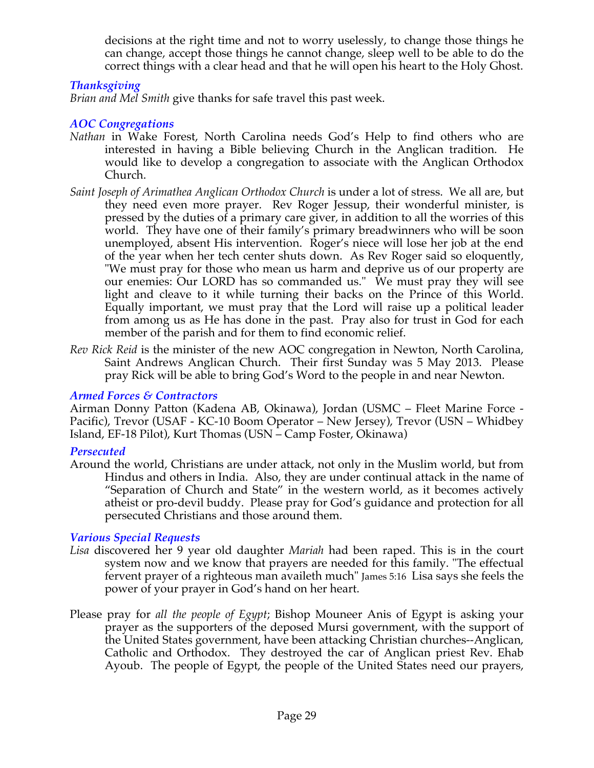decisions at the right time and not to worry uselessly, to change those things he can change, accept those things he cannot change, sleep well to be able to do the correct things with a clear head and that he will open his heart to the Holy Ghost.

# *Thanksgiving*

*Brian and Mel Smith* give thanks for safe travel this past week.

## *AOC Congregations*

- *Nathan* in Wake Forest, North Carolina needs God's Help to find others who are interested in having a Bible believing Church in the Anglican tradition. He would like to develop a congregation to associate with the Anglican Orthodox Church.
- *Saint Joseph of Arimathea Anglican Orthodox Church* is under a lot of stress. We all are, but they need even more prayer. Rev Roger Jessup, their wonderful minister, is pressed by the duties of a primary care giver, in addition to all the worries of this world. They have one of their family's primary breadwinners who will be soon unemployed, absent His intervention. Roger's niece will lose her job at the end of the year when her tech center shuts down. As Rev Roger said so eloquently, "We must pray for those who mean us harm and deprive us of our property are our enemies: Our LORD has so commanded us." We must pray they will see light and cleave to it while turning their backs on the Prince of this World. Equally important, we must pray that the Lord will raise up a political leader from among us as He has done in the past. Pray also for trust in God for each member of the parish and for them to find economic relief.
- *Rev Rick Reid* is the minister of the new AOC congregation in Newton, North Carolina, Saint Andrews Anglican Church. Their first Sunday was 5 May 2013. Please pray Rick will be able to bring God's Word to the people in and near Newton.

### *Armed Forces & Contractors*

Airman Donny Patton (Kadena AB, Okinawa), Jordan (USMC – Fleet Marine Force - Pacific), Trevor (USAF - KC-10 Boom Operator – New Jersey), Trevor (USN – Whidbey Island, EF-18 Pilot), Kurt Thomas (USN – Camp Foster, Okinawa)

### *Persecuted*

Around the world, Christians are under attack, not only in the Muslim world, but from Hindus and others in India. Also, they are under continual attack in the name of "Separation of Church and State" in the western world, as it becomes actively atheist or pro-devil buddy. Please pray for God's guidance and protection for all persecuted Christians and those around them.

### *Various Special Requests*

- *Lisa* discovered her 9 year old daughter *Mariah* had been raped. This is in the court system now and we know that prayers are needed for this family. "The effectual fervent prayer of a righteous man availeth much" James 5:16 Lisa says she feels the power of your prayer in God's hand on her heart.
- Please pray for *all the people of Egypt*; Bishop Mouneer Anis of Egypt is asking your prayer as the supporters of the deposed Mursi government, with the support of the United States government, have been attacking Christian churches--Anglican, Catholic and Orthodox. They destroyed the car of Anglican priest Rev. Ehab Ayoub. The people of Egypt, the people of the United States need our prayers,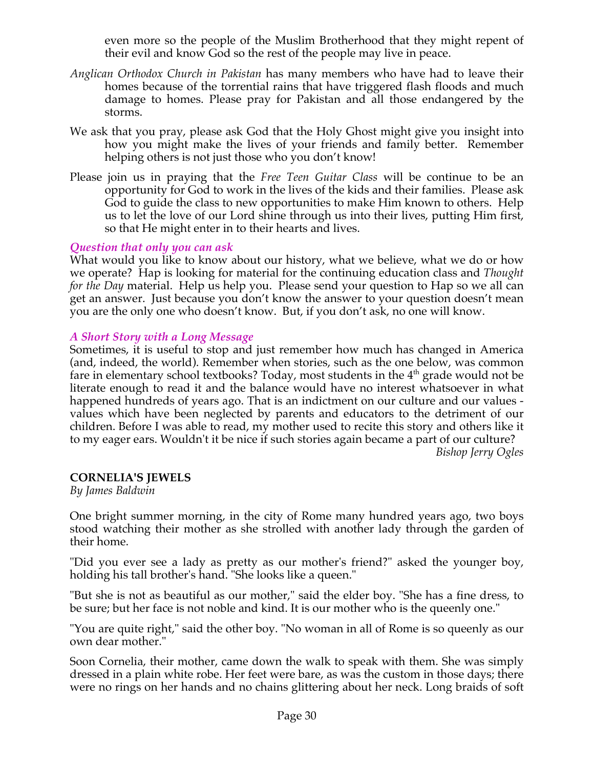even more so the people of the Muslim Brotherhood that they might repent of their evil and know God so the rest of the people may live in peace.

- *Anglican Orthodox Church in Pakistan* has many members who have had to leave their homes because of the torrential rains that have triggered flash floods and much damage to homes. Please pray for Pakistan and all those endangered by the storms.
- We ask that you pray, please ask God that the Holy Ghost might give you insight into how you might make the lives of your friends and family better. Remember helping others is not just those who you don't know!
- Please join us in praying that the *Free Teen Guitar Class* will be continue to be an opportunity for God to work in the lives of the kids and their families. Please ask God to guide the class to new opportunities to make Him known to others. Help us to let the love of our Lord shine through us into their lives, putting Him first, so that He might enter in to their hearts and lives.

## *Question that only you can ask*

What would you like to know about our history, what we believe, what we do or how we operate? Hap is looking for material for the continuing education class and *Thought for the Day* material. Help us help you. Please send your question to Hap so we all can get an answer. Just because you don't know the answer to your question doesn't mean you are the only one who doesn't know. But, if you don't ask, no one will know.

### *A Short Story with a Long Message*

Sometimes, it is useful to stop and just remember how much has changed in America (and, indeed, the world). Remember when stories, such as the one below, was common fare in elementary school textbooks? Today, most students in the  $4<sup>th</sup>$  grade would not be literate enough to read it and the balance would have no interest whatsoever in what happened hundreds of years ago. That is an indictment on our culture and our values values which have been neglected by parents and educators to the detriment of our children. Before I was able to read, my mother used to recite this story and others like it to my eager ears. Wouldn't it be nice if such stories again became a part of our culture? *Bishop Jerry Ogles*

**CORNELIA'S JEWELS**

*By James Baldwin*

One bright summer morning, in the city of Rome many hundred years ago, two boys stood watching their mother as she strolled with another lady through the garden of their home.

"Did you ever see a lady as pretty as our mother's friend?" asked the younger boy, holding his tall brother's hand. "She looks like a queen."

"But she is not as beautiful as our mother," said the elder boy. "She has a fine dress, to be sure; but her face is not noble and kind. It is our mother who is the queenly one."

"You are quite right," said the other boy. "No woman in all of Rome is so queenly as our own dear mother."

Soon Cornelia, their mother, came down the walk to speak with them. She was simply dressed in a plain white robe. Her feet were bare, as was the custom in those days; there were no rings on her hands and no chains glittering about her neck. Long braids of soft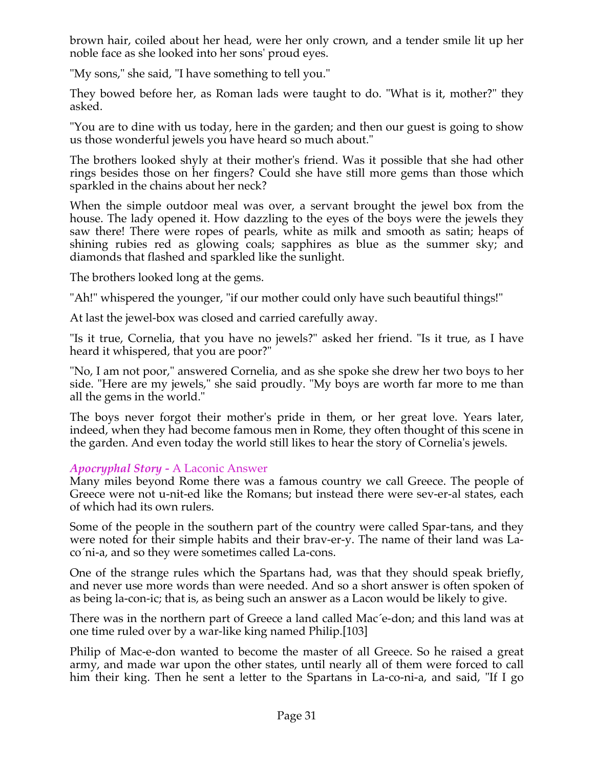brown hair, coiled about her head, were her only crown, and a tender smile lit up her noble face as she looked into her sons' proud eyes.

"My sons," she said, "I have something to tell you."

They bowed before her, as Roman lads were taught to do. "What is it, mother?" they asked.

"You are to dine with us today, here in the garden; and then our guest is going to show us those wonderful jewels you have heard so much about."

The brothers looked shyly at their mother's friend. Was it possible that she had other rings besides those on her fingers? Could she have still more gems than those which sparkled in the chains about her neck?

When the simple outdoor meal was over, a servant brought the jewel box from the house. The lady opened it. How dazzling to the eyes of the boys were the jewels they saw there! There were ropes of pearls, white as milk and smooth as satin; heaps of shining rubies red as glowing coals; sapphires as blue as the summer sky; and diamonds that flashed and sparkled like the sunlight.

The brothers looked long at the gems.

"Ah!" whispered the younger, "if our mother could only have such beautiful things!"

At last the jewel-box was closed and carried carefully away.

"Is it true, Cornelia, that you have no jewels?" asked her friend. "Is it true, as I have heard it whispered, that you are poor?"

"No, I am not poor," answered Cornelia, and as she spoke she drew her two boys to her side. "Here are my jewels," she said proudly. "My boys are worth far more to me than all the gems in the world."

The boys never forgot their mother's pride in them, or her great love. Years later, indeed, when they had become famous men in Rome, they often thought of this scene in the garden. And even today the world still likes to hear the story of Cornelia's jewels.

# *Apocryphal Story -* A Laconic Answer

Many miles beyond Rome there was a famous country we call Greece. The people of Greece were not u-nit-ed like the Romans; but instead there were sev-er-al states, each of which had its own rulers.

Some of the people in the southern part of the country were called Spar-tans, and they were noted for their simple habits and their brav-er-y. The name of their land was Laco´ni-a, and so they were sometimes called La-cons.

One of the strange rules which the Spartans had, was that they should speak briefly, and never use more words than were needed. And so a short answer is often spoken of as being la-con-ic; that is, as being such an answer as a Lacon would be likely to give.

There was in the northern part of Greece a land called Mac´e-don; and this land was at one time ruled over by a war-like king named Philip.[103]

Philip of Mac-e-don wanted to become the master of all Greece. So he raised a great army, and made war upon the other states, until nearly all of them were forced to call him their king. Then he sent a letter to the Spartans in La-co-ni-a, and said, "If I go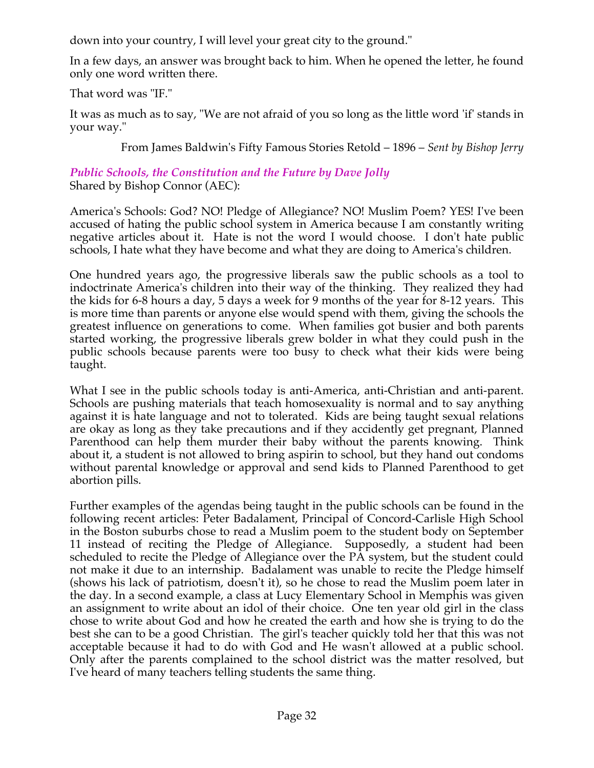down into your country, I will level your great city to the ground."

In a few days, an answer was brought back to him. When he opened the letter, he found only one word written there.

That word was "IF."

It was as much as to say, "We are not afraid of you so long as the little word 'if' stands in your way."

From James Baldwin's Fifty Famous Stories Retold – 1896 – *Sent by Bishop Jerry*

## *Public Schools, the Constitution and the Future by Dave Jolly* Shared by Bishop Connor (AEC):

America's Schools: God? NO! Pledge of Allegiance? NO! Muslim Poem? YES! I've been accused of hating the public school system in America because I am constantly writing negative articles about it. Hate is not the word I would choose. I don't hate public schools, I hate what they have become and what they are doing to America's children.

One hundred years ago, the progressive liberals saw the public schools as a tool to indoctrinate America's children into their way of the thinking. They realized they had the kids for 6-8 hours a day, 5 days a week for 9 months of the year for 8-12 years. This is more time than parents or anyone else would spend with them, giving the schools the greatest influence on generations to come. When families got busier and both parents started working, the progressive liberals grew bolder in what they could push in the public schools because parents were too busy to check what their kids were being taught.

What I see in the public schools today is anti-America, anti-Christian and anti-parent. Schools are pushing materials that teach homosexuality is normal and to say anything against it is hate language and not to tolerated. Kids are being taught sexual relations are okay as long as they take precautions and if they accidently get pregnant, Planned Parenthood can help them murder their baby without the parents knowing. Think about it, a student is not allowed to bring aspirin to school, but they hand out condoms without parental knowledge or approval and send kids to Planned Parenthood to get abortion pills.

Further examples of the agendas being taught in the public schools can be found in the following recent articles: Peter Badalament, Principal of Concord-Carlisle High School in the Boston suburbs chose to read a Muslim poem to the student body on September 11 instead of reciting the Pledge of Allegiance. Supposedly, a student had been scheduled to recite the Pledge of Allegiance over the PA system, but the student could not make it due to an internship. Badalament was unable to recite the Pledge himself (shows his lack of patriotism, doesn't it), so he chose to read the Muslim poem later in the day. In a second example, a class at Lucy Elementary School in Memphis was given an assignment to write about an idol of their choice. One ten year old girl in the class chose to write about God and how he created the earth and how she is trying to do the best she can to be a good Christian. The girl's teacher quickly told her that this was not acceptable because it had to do with God and He wasn't allowed at a public school. Only after the parents complained to the school district was the matter resolved, but I've heard of many teachers telling students the same thing.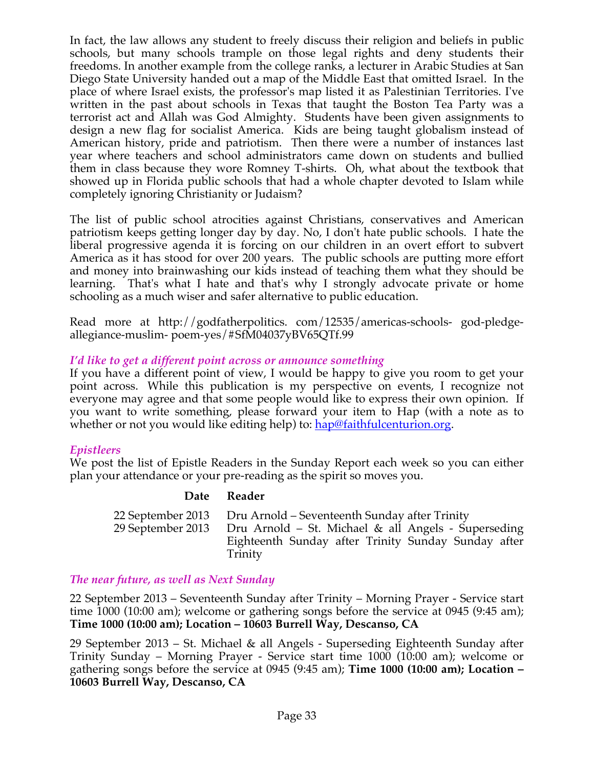In fact, the law allows any student to freely discuss their religion and beliefs in public schools, but many schools trample on those legal rights and deny students their freedoms. In another example from the college ranks, a lecturer in Arabic Studies at San Diego State University handed out a map of the Middle East that omitted Israel. In the place of where Israel exists, the professor's map listed it as Palestinian Territories. I've written in the past about schools in Texas that taught the Boston Tea Party was a terrorist act and Allah was God Almighty. Students have been given assignments to design a new flag for socialist America. Kids are being taught globalism instead of American history, pride and patriotism. Then there were a number of instances last year where teachers and school administrators came down on students and bullied them in class because they wore Romney T-shirts. Oh, what about the textbook that showed up in Florida public schools that had a whole chapter devoted to Islam while completely ignoring Christianity or Judaism?

The list of public school atrocities against Christians, conservatives and American patriotism keeps getting longer day by day. No, I don't hate public schools. I hate the liberal progressive agenda it is forcing on our children in an overt effort to subvert America as it has stood for over 200 years. The public schools are putting more effort and money into brainwashing our kids instead of teaching them what they should be learning. That's what I hate and that's why I strongly advocate private or home schooling as a much wiser and safer alternative to public education.

Read more at http://godfatherpolitics. com/12535/americas-schools- god-pledgeallegiance-muslim- poem-yes/#SfM04037yBV65QTf.99

## *I'd like to get a different point across or announce something*

If you have a different point of view, I would be happy to give you room to get your point across. While this publication is my perspective on events, I recognize not everyone may agree and that some people would like to express their own opinion. If you want to write something, please forward your item to Hap (with a note as to whether or not you would like editing help) to: hap@faithfulcenturion.org.

### *Epistleers*

We post the list of Epistle Readers in the Sunday Report each week so you can either plan your attendance or your pre-reading as the spirit so moves you.

|                   | Date Reader                                                                                                                                                                              |
|-------------------|------------------------------------------------------------------------------------------------------------------------------------------------------------------------------------------|
| 29 September 2013 | 22 September 2013 Dru Arnold – Seventeenth Sunday after Trinity<br>Dru Arnold - St. Michael & all Angels - Superseding<br>Eighteenth Sunday after Trinity Sunday Sunday after<br>Trinity |

# *The near future, as well as Next Sunday*

22 September 2013 – Seventeenth Sunday after Trinity – Morning Prayer - Service start time 1000 (10:00 am); welcome or gathering songs before the service at 0945 (9:45 am); **Time 1000 (10:00 am); Location – 10603 Burrell Way, Descanso, CA**

29 September 2013 – St. Michael & all Angels - Superseding Eighteenth Sunday after Trinity Sunday – Morning Prayer - Service start time 1000 (10:00 am); welcome or gathering songs before the service at 0945 (9:45 am); **Time 1000 (10:00 am); Location – 10603 Burrell Way, Descanso, CA**